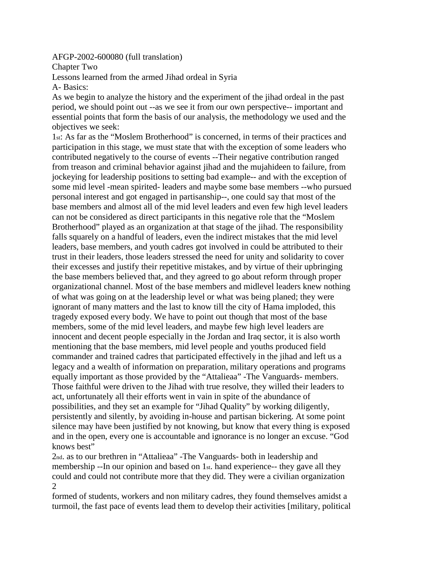AFGP-2002-600080 (full translation)

Chapter Two

Lessons learned from the armed Jihad ordeal in Syria

A- Basics:

As we begin to analyze the history and the experiment of the jihad ordeal in the past period, we should point out --as we see it from our own perspective-- important and essential points that form the basis of our analysis, the methodology we used and the objectives we seek:

1st: As far as the "Moslem Brotherhood" is concerned, in terms of their practices and participation in this stage, we must state that with the exception of some leaders who contributed negatively to the course of events --Their negative contribution ranged from treason and criminal behavior against jihad and the mujahideen to failure, from jockeying for leadership positions to setting bad example-- and with the exception of some mid level -mean spirited- leaders and maybe some base members --who pursued personal interest and got engaged in partisanship--, one could say that most of the base members and almost all of the mid level leaders and even few high level leaders can not be considered as direct participants in this negative role that the "Moslem Brotherhood" played as an organization at that stage of the jihad. The responsibility falls squarely on a handful of leaders, even the indirect mistakes that the mid level leaders, base members, and youth cadres got involved in could be attributed to their trust in their leaders, those leaders stressed the need for unity and solidarity to cover their excesses and justify their repetitive mistakes, and by virtue of their upbringing the base members believed that, and they agreed to go about reform through proper organizational channel. Most of the base members and midlevel leaders knew nothing of what was going on at the leadership level or what was being planed; they were ignorant of many matters and the last to know till the city of Hama imploded, this tragedy exposed every body. We have to point out though that most of the base members, some of the mid level leaders, and maybe few high level leaders are innocent and decent people especially in the Jordan and Iraq sector, it is also worth mentioning that the base members, mid level people and youths produced field commander and trained cadres that participated effectively in the jihad and left us a legacy and a wealth of information on preparation, military operations and programs equally important as those provided by the "Attalieaa" -The Vanguards- members. Those faithful were driven to the Jihad with true resolve, they willed their leaders to act, unfortunately all their efforts went in vain in spite of the abundance of possibilities, and they set an example for "Jihad Quality" by working diligently, persistently and silently, by avoiding in-house and partisan bickering. At some point silence may have been justified by not knowing, but know that every thing is exposed and in the open, every one is accountable and ignorance is no longer an excuse. "God knows best"

2nd. as to our brethren in "Attalieaa" -The Vanguards- both in leadership and membership --In our opinion and based on 1st. hand experience-- they gave all they could and could not contribute more that they did. They were a civilian organization 2

formed of students, workers and non military cadres, they found themselves amidst a turmoil, the fast pace of events lead them to develop their activities [military, political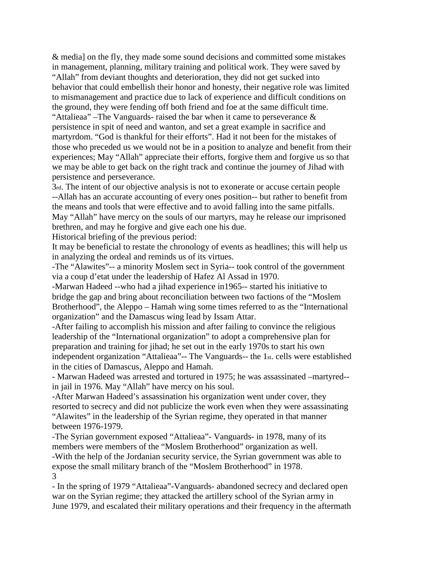& media] on the fly, they made some sound decisions and committed some mistakes in management, planning, military training and political work. They were saved by "Allah" from deviant thoughts and deterioration, they did not get sucked into behavior that could embellish their honor and honesty, their negative role was limited to mismanagement and practice due to lack of experience and difficult conditions on the ground, they were fending off both friend and foe at the same difficult time. "Attalieaa" –The Vanguards- raised the bar when it came to perseverance  $\&$ persistence in spit of need and wanton, and set a great example in sacrifice and martyrdom. "God is thankful for their efforts". Had it not been for the mistakes of those who preceded us we would not be in a position to analyze and benefit from their experiences; May "Allah" appreciate their efforts, forgive them and forgive us so that we may be able to get back on the right track and continue the journey of Jihad with persistence and perseverance.

3rd. The intent of our objective analysis is not to exonerate or accuse certain people --Allah has an accurate accounting of every ones position-- but rather to benefit from the means and tools that were effective and to avoid falling into the same pitfalls. May "Allah" have mercy on the souls of our martyrs, may he release our imprisoned brethren, and may he forgive and give each one his due.

Historical briefing of the previous period:

It may be beneficial to restate the chronology of events as headlines; this will help us in analyzing the ordeal and reminds us of its virtues.

-The "Alawites"-- a minority Moslem sect in Syria-- took control of the government via a coup d'etat under the leadership of Hafez Al Assad in 1970.

-Marwan Hadeed --who had a jihad experience in1965-- started his initiative to bridge the gap and bring about reconciliation between two factions of the "Moslem Brotherhood", the Aleppo – Hamah wing some times referred to as the "International organization" and the Damascus wing lead by Issam Attar.

-After failing to accomplish his mission and after failing to convince the religious leadership of the "International organization" to adopt a comprehensive plan for preparation and training for jihad; he set out in the early 1970s to start his own independent organization "Attalieaa"-- The Vanguards-- the 1st. cells were established in the cities of Damascus, Aleppo and Hamah.

- Marwan Hadeed was arrested and tortured in 1975; he was assassinated –martyred- in jail in 1976. May "Allah" have mercy on his soul.

-After Marwan Hadeed's assassination his organization went under cover, they resorted to secrecy and did not publicize the work even when they were assassinating "Alawites" in the leadership of the Syrian regime, they operated in that manner between 1976-1979.

-The Syrian government exposed "Attalieaa"- Vanguards- in 1978, many of its members were members of the "Moslem Brotherhood" organization as well.

-With the help of the Jordanian security service, the Syrian government was able to expose the small military branch of the "Moslem Brotherhood" in 1978. 3

- In the spring of 1979 "Attalieaa"-Vanguards- abandoned secrecy and declared open war on the Syrian regime; they attacked the artillery school of the Syrian army in June 1979, and escalated their military operations and their frequency in the aftermath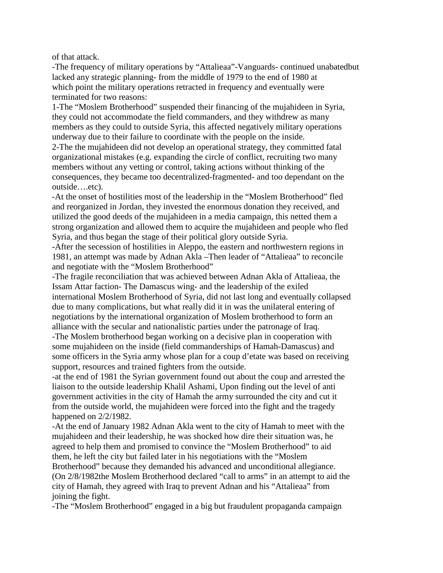of that attack.

-The frequency of military operations by "Attalieaa"-Vanguards- continued unabatedbut lacked any strategic planning- from the middle of 1979 to the end of 1980 at which point the military operations retracted in frequency and eventually were terminated for two reasons:

1-The "Moslem Brotherhood" suspended their financing of the mujahideen in Syria, they could not accommodate the field commanders, and they withdrew as many members as they could to outside Syria, this affected negatively military operations underway due to their failure to coordinate with the people on the inside.

2-The the mujahideen did not develop an operational strategy, they committed fatal organizational mistakes (e.g. expanding the circle of conflict, recruiting two many members without any vetting or control, taking actions without thinking of the consequences, they became too decentralized-fragmented- and too dependant on the outside….etc).

-At the onset of hostilities most of the leadership in the "Moslem Brotherhood" fled and reorganized in Jordan, they invested the enormous donation they received, and utilized the good deeds of the mujahideen in a media campaign, this netted them a strong organization and allowed them to acquire the mujahideen and people who fled Syria, and thus began the stage of their political glory outside Syria.

-After the secession of hostilities in Aleppo, the eastern and northwestern regions in 1981, an attempt was made by Adnan Akla –Then leader of "Attalieaa" to reconcile and negotiate with the "Moslem Brotherhood"

-The fragile reconciliation that was achieved between Adnan Akla of Attalieaa, the Issam Attar faction- The Damascus wing- and the leadership of the exiled international Moslem Brotherhood of Syria, did not last long and eventually collapsed due to many complications, but what really did it in was the unilateral entering of negotiations by the international organization of Moslem brotherhood to form an alliance with the secular and nationalistic parties under the patronage of Iraq.

-The Moslem brotherhood began working on a decisive plan in cooperation with some mujahideen on the inside (field commanderships of Hamah-Damascus) and some officers in the Syria army whose plan for a coup d'etate was based on receiving support, resources and trained fighters from the outside.

-at the end of 1981 the Syrian government found out about the coup and arrested the liaison to the outside leadership Khalil Ashami, Upon finding out the level of anti government activities in the city of Hamah the army surrounded the city and cut it from the outside world, the mujahideen were forced into the fight and the tragedy happened on  $2/2/1982$ .

-At the end of January 1982 Adnan Akla went to the city of Hamah to meet with the mujahideen and their leadership, he was shocked how dire their situation was, he agreed to help them and promised to convince the "Moslem Brotherhood" to aid them, he left the city but failed later in his negotiations with the "Moslem Brotherhood" because they demanded his advanced and unconditional allegiance. (On 2/8/1982the Moslem Brotherhood declared "call to arms" in an attempt to aid the city of Hamah, they agreed with Iraq to prevent Adnan and his "Attalieaa" from joining the fight.

-The "Moslem Brotherhood" engaged in a big but fraudulent propaganda campaign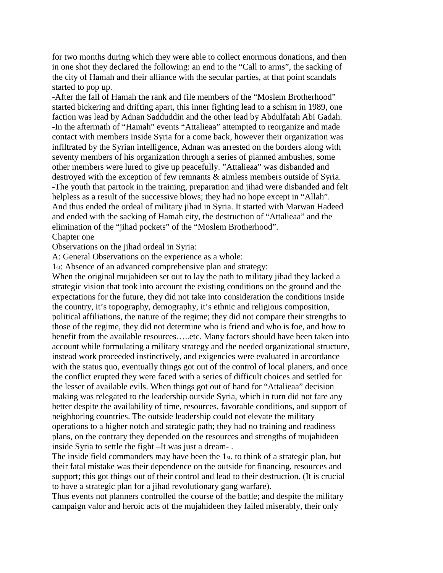for two months during which they were able to collect enormous donations, and then in one shot they declared the following: an end to the "Call to arms", the sacking of the city of Hamah and their alliance with the secular parties, at that point scandals started to pop up.

-After the fall of Hamah the rank and file members of the "Moslem Brotherhood" started bickering and drifting apart, this inner fighting lead to a schism in 1989, one faction was lead by Adnan Sadduddin and the other lead by Abdulfatah Abi Gadah. -In the aftermath of "Hamah" events "Attalieaa" attempted to reorganize and made contact with members inside Syria for a come back, however their organization was infiltrated by the Syrian intelligence, Adnan was arrested on the borders along with seventy members of his organization through a series of planned ambushes, some other members were lured to give up peacefully. "Attalieaa" was disbanded and destroyed with the exception of few remnants & aimless members outside of Syria. -The youth that partook in the training, preparation and jihad were disbanded and felt helpless as a result of the successive blows; they had no hope except in "Allah". And thus ended the ordeal of military jihad in Syria. It started with Marwan Hadeed and ended with the sacking of Hamah city, the destruction of "Attalieaa" and the elimination of the "jihad pockets" of the "Moslem Brotherhood". Chapter one

Observations on the jihad ordeal in Syria:

A: General Observations on the experience as a whole:

1st: Absence of an advanced comprehensive plan and strategy:

When the original mujahideen set out to lay the path to military jihad they lacked a strategic vision that took into account the existing conditions on the ground and the expectations for the future, they did not take into consideration the conditions inside the country, it's topography, demography, it's ethnic and religious composition, political affiliations, the nature of the regime; they did not compare their strengths to those of the regime, they did not determine who is friend and who is foe, and how to benefit from the available resources…..etc. Many factors should have been taken into account while formulating a military strategy and the needed organizational structure, instead work proceeded instinctively, and exigencies were evaluated in accordance with the status quo, eventually things got out of the control of local planers, and once the conflict erupted they were faced with a series of difficult choices and settled for the lesser of available evils. When things got out of hand for "Attalieaa" decision making was relegated to the leadership outside Syria, which in turn did not fare any better despite the availability of time, resources, favorable conditions, and support of neighboring countries. The outside leadership could not elevate the military operations to a higher notch and strategic path; they had no training and readiness plans, on the contrary they depended on the resources and strengths of mujahideen inside Syria to settle the fight –It was just a dream- .

The inside field commanders may have been the 1st. to think of a strategic plan, but their fatal mistake was their dependence on the outside for financing, resources and support; this got things out of their control and lead to their destruction. (It is crucial to have a strategic plan for a jihad revolutionary gang warfare).

Thus events not planners controlled the course of the battle; and despite the military campaign valor and heroic acts of the mujahideen they failed miserably, their only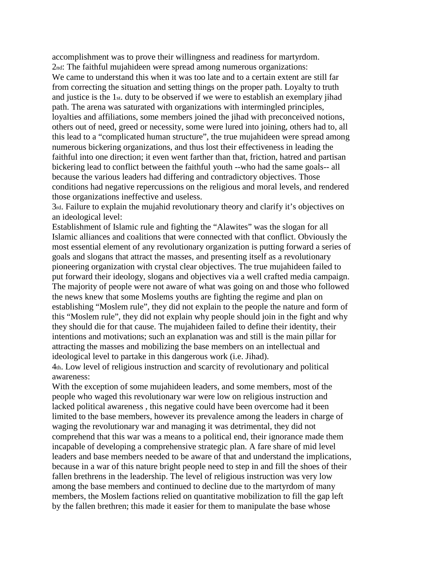accomplishment was to prove their willingness and readiness for martyrdom.

2nd: The faithful mujahideen were spread among numerous organizations: We came to understand this when it was too late and to a certain extent are still far from correcting the situation and setting things on the proper path. Loyalty to truth and justice is the 1st. duty to be observed if we were to establish an exemplary jihad path. The arena was saturated with organizations with intermingled principles, loyalties and affiliations, some members joined the jihad with preconceived notions, others out of need, greed or necessity, some were lured into joining, others had to, all this lead to a "complicated human structure", the true mujahideen were spread among numerous bickering organizations, and thus lost their effectiveness in leading the faithful into one direction; it even went farther than that, friction, hatred and partisan bickering lead to conflict between the faithful youth --who had the same goals-- all because the various leaders had differing and contradictory objectives. Those conditions had negative repercussions on the religious and moral levels, and rendered those organizations ineffective and useless.

3rd. Failure to explain the mujahid revolutionary theory and clarify it's objectives on an ideological level:

Establishment of Islamic rule and fighting the "Alawites" was the slogan for all Islamic alliances and coalitions that were connected with that conflict. Obviously the most essential element of any revolutionary organization is putting forward a series of goals and slogans that attract the masses, and presenting itself as a revolutionary pioneering organization with crystal clear objectives. The true mujahideen failed to put forward their ideology, slogans and objectives via a well crafted media campaign. The majority of people were not aware of what was going on and those who followed the news knew that some Moslems youths are fighting the regime and plan on establishing "Moslem rule", they did not explain to the people the nature and form of this "Moslem rule", they did not explain why people should join in the fight and why they should die for that cause. The mujahideen failed to define their identity, their intentions and motivations; such an explanation was and still is the main pillar for attracting the masses and mobilizing the base members on an intellectual and ideological level to partake in this dangerous work (i.e. Jihad).

4th. Low level of religious instruction and scarcity of revolutionary and political awareness:

With the exception of some mujahideen leaders, and some members, most of the people who waged this revolutionary war were low on religious instruction and lacked political awareness , this negative could have been overcome had it been limited to the base members, however its prevalence among the leaders in charge of waging the revolutionary war and managing it was detrimental, they did not comprehend that this war was a means to a political end, their ignorance made them incapable of developing a comprehensive strategic plan. A fare share of mid level leaders and base members needed to be aware of that and understand the implications, because in a war of this nature bright people need to step in and fill the shoes of their fallen brethrens in the leadership. The level of religious instruction was very low among the base members and continued to decline due to the martyrdom of many members, the Moslem factions relied on quantitative mobilization to fill the gap left by the fallen brethren; this made it easier for them to manipulate the base whose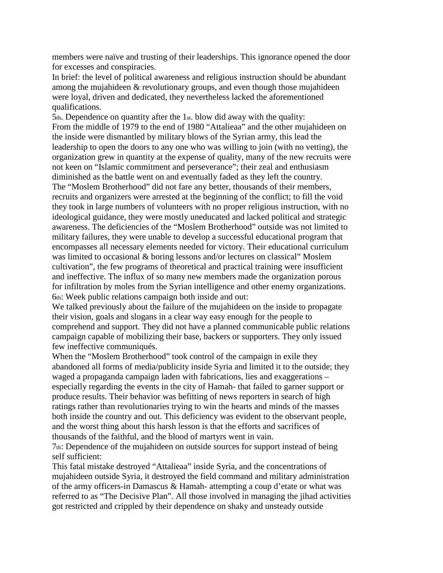members were naïve and trusting of their leaderships. This ignorance opened the door for excesses and conspiracies.

In brief: the level of political awareness and religious instruction should be abundant among the mujahideen & revolutionary groups, and even though those mujahideen were loyal, driven and dedicated, they nevertheless lacked the aforementioned qualifications.

5th. Dependence on quantity after the 1st. blow did away with the quality: From the middle of 1979 to the end of 1980 "Attalieaa" and the other mujahideen on the inside were dismantled by military blows of the Syrian army, this lead the leadership to open the doors to any one who was willing to join (with no vetting), the organization grew in quantity at the expense of quality, many of the new recruits were not keen on "Islamic commitment and perseverance"; their zeal and enthusiasm diminished as the battle went on and eventually faded as they left the country. The "Moslem Brotherhood" did not fare any better, thousands of their members, recruits and organizers were arrested at the beginning of the conflict; to fill the void they took in large numbers of volunteers with no proper religious instruction, with no ideological guidance, they were mostly uneducated and lacked political and strategic awareness. The deficiencies of the "Moslem Brotherhood" outside was not limited to military failures, they were unable to develop a successful educational program that encompasses all necessary elements needed for victory. Their educational curriculum was limited to occasional & boring lessons and/or lectures on classical" Moslem cultivation", the few programs of theoretical and practical training were insufficient and ineffective. The influx of so many new members made the organization porous for infiltration by moles from the Syrian intelligence and other enemy organizations. 6th: Week public relations campaign both inside and out:

We talked previously about the failure of the mujahideen on the inside to propagate their vision, goals and slogans in a clear way easy enough for the people to comprehend and support. They did not have a planned communicable public relations campaign capable of mobilizing their base, backers or supporters. They only issued few ineffective communiqués.

When the "Moslem Brotherhood" took control of the campaign in exile they abandoned all forms of media/publicity inside Syria and limited it to the outside; they waged a propaganda campaign laden with fabrications, lies and exaggerations – especially regarding the events in the city of Hamah- that failed to garner support or produce results. Their behavior was befitting of news reporters in search of high ratings rather than revolutionaries trying to win the hearts and minds of the masses both inside the country and out. This deficiency was evident to the observant people, and the worst thing about this harsh lesson is that the efforts and sacrifices of thousands of the faithful, and the blood of martyrs went in vain.

7th: Dependence of the mujahideen on outside sources for support instead of being self sufficient:

This fatal mistake destroyed "Attalieaa" inside Syria, and the concentrations of mujahideen outside Syria, it destroyed the field command and military administration of the army officers-in Damascus & Hamah- attempting a coup d'etate or what was referred to as "The Decisive Plan". All those involved in managing the jihad activities got restricted and crippled by their dependence on shaky and unsteady outside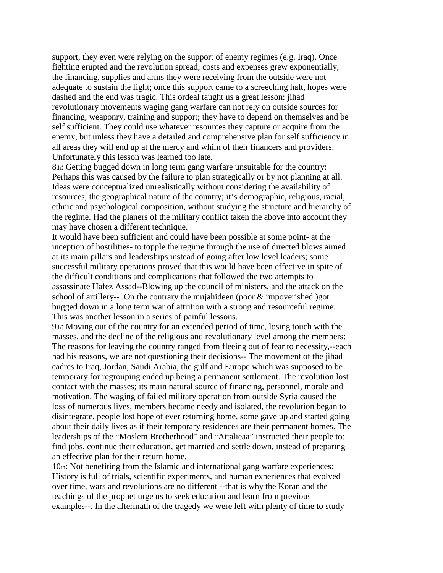support, they even were relying on the support of enemy regimes (e.g. Iraq). Once fighting erupted and the revolution spread; costs and expenses grew exponentially, the financing, supplies and arms they were receiving from the outside were not adequate to sustain the fight; once this support came to a screeching halt, hopes were dashed and the end was tragic. This ordeal taught us a great lesson: jihad revolutionary movements waging gang warfare can not rely on outside sources for financing, weaponry, training and support; they have to depend on themselves and be self sufficient. They could use whatever resources they capture or acquire from the enemy, but unless they have a detailed and comprehensive plan for self sufficiency in all areas they will end up at the mercy and whim of their financers and providers. Unfortunately this lesson was learned too late.

8th: Getting bugged down in long term gang warfare unsuitable for the country: Perhaps this was caused by the failure to plan strategically or by not planning at all. Ideas were conceptualized unrealistically without considering the availability of resources, the geographical nature of the country; it's demographic, religious, racial, ethnic and psychological composition, without studying the structure and hierarchy of the regime. Had the planers of the military conflict taken the above into account they may have chosen a different technique.

It would have been sufficient and could have been possible at some point- at the inception of hostilities- to topple the regime through the use of directed blows aimed at its main pillars and leaderships instead of going after low level leaders; some successful military operations proved that this would have been effective in spite of the difficult conditions and complications that followed the two attempts to assassinate Hafez Assad--Blowing up the council of ministers, and the attack on the school of artillery-- .On the contrary the mujahideen (poor  $\&$  impoverished )got bugged down in a long term war of attrition with a strong and resourceful regime. This was another lesson in a series of painful lessons.

9th: Moving out of the country for an extended period of time, losing touch with the masses, and the decline of the religious and revolutionary level among the members: The reasons for leaving the country ranged from fleeing out of fear to necessity,--each had his reasons, we are not questioning their decisions-- The movement of the jihad cadres to Iraq, Jordan, Saudi Arabia, the gulf and Europe which was supposed to be temporary for regrouping ended up being a permanent settlement. The revolution lost contact with the masses; its main natural source of financing, personnel, morale and motivation. The waging of failed military operation from outside Syria caused the loss of numerous lives, members became needy and isolated, the revolution began to disintegrate, people lost hope of ever returning home, some gave up and started going about their daily lives as if their temporary residences are their permanent homes. The leaderships of the "Moslem Brotherhood" and "Attalieaa" instructed their people to: find jobs, continue their education, get married and settle down, instead of preparing an effective plan for their return home.

10th: Not benefiting from the Islamic and international gang warfare experiences: History is full of trials, scientific experiments, and human experiences that evolved over time, wars and revolutions are no different --that is why the Koran and the teachings of the prophet urge us to seek education and learn from previous examples--. In the aftermath of the tragedy we were left with plenty of time to study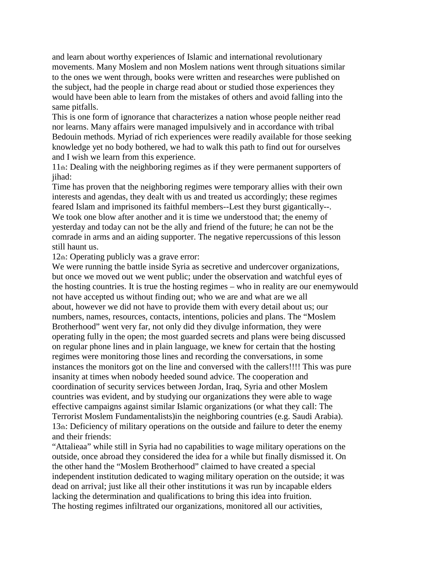and learn about worthy experiences of Islamic and international revolutionary movements. Many Moslem and non Moslem nations went through situations similar to the ones we went through, books were written and researches were published on the subject, had the people in charge read about or studied those experiences they would have been able to learn from the mistakes of others and avoid falling into the same pitfalls.

This is one form of ignorance that characterizes a nation whose people neither read nor learns. Many affairs were managed impulsively and in accordance with tribal Bedouin methods. Myriad of rich experiences were readily available for those seeking knowledge yet no body bothered, we had to walk this path to find out for ourselves and I wish we learn from this experience.

11th: Dealing with the neighboring regimes as if they were permanent supporters of iihad:

Time has proven that the neighboring regimes were temporary allies with their own interests and agendas, they dealt with us and treated us accordingly; these regimes feared Islam and imprisoned its faithful members--Lest they burst gigantically--. We took one blow after another and it is time we understood that; the enemy of yesterday and today can not be the ally and friend of the future; he can not be the comrade in arms and an aiding supporter. The negative repercussions of this lesson still haunt us.

12th: Operating publicly was a grave error:

We were running the battle inside Syria as secretive and undercover organizations, but once we moved out we went public; under the observation and watchful eyes of the hosting countries. It is true the hosting regimes – who in reality are our enemywould not have accepted us without finding out; who we are and what are we all about, however we did not have to provide them with every detail about us; our numbers, names, resources, contacts, intentions, policies and plans. The "Moslem Brotherhood" went very far, not only did they divulge information, they were operating fully in the open; the most guarded secrets and plans were being discussed on regular phone lines and in plain language, we knew for certain that the hosting regimes were monitoring those lines and recording the conversations, in some instances the monitors got on the line and conversed with the callers!!!! This was pure insanity at times when nobody heeded sound advice. The cooperation and coordination of security services between Jordan, Iraq, Syria and other Moslem countries was evident, and by studying our organizations they were able to wage effective campaigns against similar Islamic organizations (or what they call: The Terrorist Moslem Fundamentalists)in the neighboring countries (e.g. Saudi Arabia). 13th: Deficiency of military operations on the outside and failure to deter the enemy and their friends:

"Attalieaa" while still in Syria had no capabilities to wage military operations on the outside, once abroad they considered the idea for a while but finally dismissed it. On the other hand the "Moslem Brotherhood" claimed to have created a special independent institution dedicated to waging military operation on the outside; it was dead on arrival; just like all their other institutions it was run by incapable elders lacking the determination and qualifications to bring this idea into fruition. The hosting regimes infiltrated our organizations, monitored all our activities,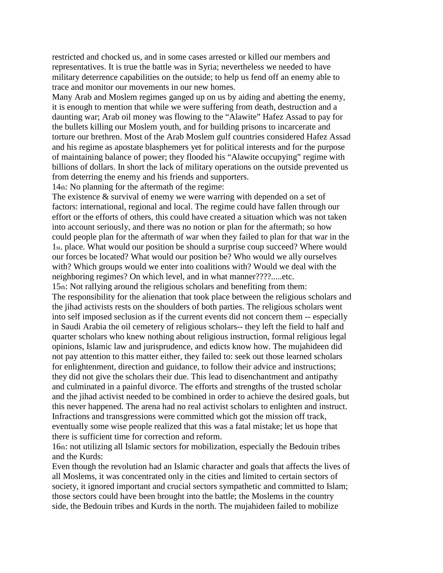restricted and chocked us, and in some cases arrested or killed our members and representatives. It is true the battle was in Syria; nevertheless we needed to have military deterrence capabilities on the outside; to help us fend off an enemy able to trace and monitor our movements in our new homes.

Many Arab and Moslem regimes ganged up on us by aiding and abetting the enemy, it is enough to mention that while we were suffering from death, destruction and a daunting war; Arab oil money was flowing to the "Alawite" Hafez Assad to pay for the bullets killing our Moslem youth, and for building prisons to incarcerate and torture our brethren. Most of the Arab Moslem gulf countries considered Hafez Assad and his regime as apostate blasphemers yet for political interests and for the purpose of maintaining balance of power; they flooded his "Alawite occupying" regime with billions of dollars. In short the lack of military operations on the outside prevented us from deterring the enemy and his friends and supporters.

14th: No planning for the aftermath of the regime:

The existence & survival of enemy we were warring with depended on a set of factors: international, regional and local. The regime could have fallen through our effort or the efforts of others, this could have created a situation which was not taken into account seriously, and there was no notion or plan for the aftermath; so how could people plan for the aftermath of war when they failed to plan for that war in the 1st. place. What would our position be should a surprise coup succeed? Where would our forces be located? What would our position be? Who would we ally ourselves with? Which groups would we enter into coalitions with? Would we deal with the neighboring regimes? On which level, and in what manner????.....etc.

15th: Not rallying around the religious scholars and benefiting from them: The responsibility for the alienation that took place between the religious scholars and the jihad activists rests on the shoulders of both parties. The religious scholars went into self imposed seclusion as if the current events did not concern them -- especially in Saudi Arabia the oil cemetery of religious scholars-- they left the field to half and quarter scholars who knew nothing about religious instruction, formal religious legal opinions, Islamic law and jurisprudence, and edicts know how. The mujahideen did not pay attention to this matter either, they failed to: seek out those learned scholars for enlightenment, direction and guidance, to follow their advice and instructions; they did not give the scholars their due. This lead to disenchantment and antipathy and culminated in a painful divorce. The efforts and strengths of the trusted scholar and the jihad activist needed to be combined in order to achieve the desired goals, but this never happened. The arena had no real activist scholars to enlighten and instruct. Infractions and transgressions were committed which got the mission off track, eventually some wise people realized that this was a fatal mistake; let us hope that there is sufficient time for correction and reform.

16th: not utilizing all Islamic sectors for mobilization, especially the Bedouin tribes and the Kurds:

Even though the revolution had an Islamic character and goals that affects the lives of all Moslems, it was concentrated only in the cities and limited to certain sectors of society, it ignored important and crucial sectors sympathetic and committed to Islam; those sectors could have been brought into the battle; the Moslems in the country side, the Bedouin tribes and Kurds in the north. The mujahideen failed to mobilize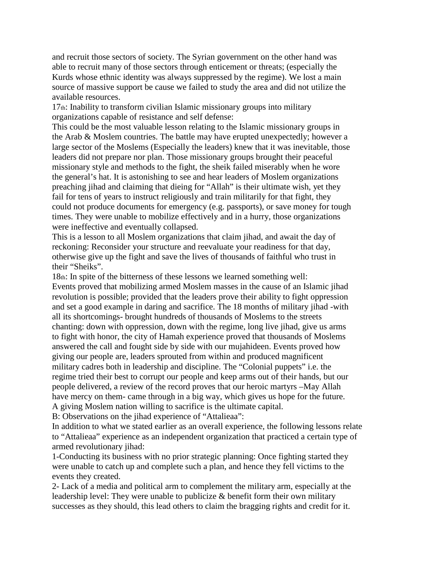and recruit those sectors of society. The Syrian government on the other hand was able to recruit many of those sectors through enticement or threats; (especially the Kurds whose ethnic identity was always suppressed by the regime). We lost a main source of massive support be cause we failed to study the area and did not utilize the available resources.

17th: Inability to transform civilian Islamic missionary groups into military organizations capable of resistance and self defense:

This could be the most valuable lesson relating to the Islamic missionary groups in the Arab & Moslem countries. The battle may have erupted unexpectedly; however a large sector of the Moslems (Especially the leaders) knew that it was inevitable, those leaders did not prepare nor plan. Those missionary groups brought their peaceful missionary style and methods to the fight, the sheik failed miserably when he wore the general's hat. It is astonishing to see and hear leaders of Moslem organizations preaching jihad and claiming that dieing for "Allah" is their ultimate wish, yet they fail for tens of years to instruct religiously and train militarily for that fight, they could not produce documents for emergency (e.g. passports), or save money for tough times. They were unable to mobilize effectively and in a hurry, those organizations were ineffective and eventually collapsed.

This is a lesson to all Moslem organizations that claim jihad, and await the day of reckoning: Reconsider your structure and reevaluate your readiness for that day, otherwise give up the fight and save the lives of thousands of faithful who trust in their "Sheiks".

18th: In spite of the bitterness of these lessons we learned something well: Events proved that mobilizing armed Moslem masses in the cause of an Islamic jihad revolution is possible; provided that the leaders prove their ability to fight oppression and set a good example in daring and sacrifice. The 18 months of military jihad -with all its shortcomings- brought hundreds of thousands of Moslems to the streets chanting: down with oppression, down with the regime, long live jihad, give us arms to fight with honor, the city of Hamah experience proved that thousands of Moslems answered the call and fought side by side with our mujahideen. Events proved how giving our people are, leaders sprouted from within and produced magnificent military cadres both in leadership and discipline. The "Colonial puppets" i.e. the regime tried their best to corrupt our people and keep arms out of their hands, but our people delivered, a review of the record proves that our heroic martyrs –May Allah have mercy on them- came through in a big way, which gives us hope for the future. A giving Moslem nation willing to sacrifice is the ultimate capital.

B: Observations on the jihad experience of "Attalieaa":

In addition to what we stated earlier as an overall experience, the following lessons relate to "Attalieaa" experience as an independent organization that practiced a certain type of armed revolutionary jihad:

1-Conducting its business with no prior strategic planning: Once fighting started they were unable to catch up and complete such a plan, and hence they fell victims to the events they created.

2- Lack of a media and political arm to complement the military arm, especially at the leadership level: They were unable to publicize & benefit form their own military successes as they should, this lead others to claim the bragging rights and credit for it.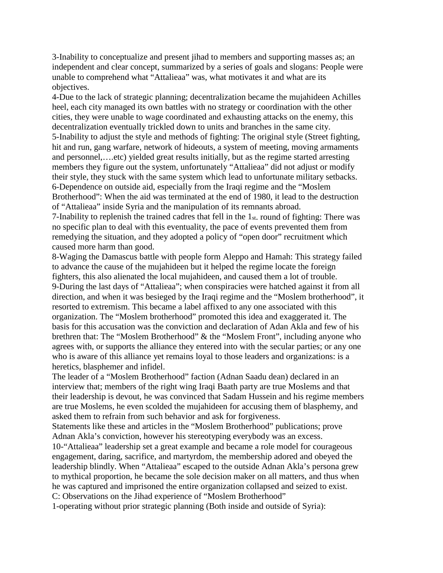3-Inability to conceptualize and present jihad to members and supporting masses as; an independent and clear concept, summarized by a series of goals and slogans: People were unable to comprehend what "Attalieaa" was, what motivates it and what are its objectives.

4-Due to the lack of strategic planning; decentralization became the mujahideen Achilles heel, each city managed its own battles with no strategy or coordination with the other cities, they were unable to wage coordinated and exhausting attacks on the enemy, this decentralization eventually trickled down to units and branches in the same city. 5-Inability to adjust the style and methods of fighting: The original style (Street fighting, hit and run, gang warfare, network of hideouts, a system of meeting, moving armaments and personnel,….etc) yielded great results initially, but as the regime started arresting members they figure out the system, unfortunately "Attalieaa" did not adjust or modify their style, they stuck with the same system which lead to unfortunate military setbacks. 6-Dependence on outside aid, especially from the Iraqi regime and the "Moslem Brotherhood": When the aid was terminated at the end of 1980, it lead to the destruction of "Attalieaa" inside Syria and the manipulation of its remnants abroad.

7-Inability to replenish the trained cadres that fell in the 1st. round of fighting: There was no specific plan to deal with this eventuality, the pace of events prevented them from remedying the situation, and they adopted a policy of "open door" recruitment which caused more harm than good.

8-Waging the Damascus battle with people form Aleppo and Hamah: This strategy failed to advance the cause of the mujahideen but it helped the regime locate the foreign fighters, this also alienated the local mujahideen, and caused them a lot of trouble. 9-During the last days of "Attalieaa"; when conspiracies were hatched against it from all direction, and when it was besieged by the Iraqi regime and the "Moslem brotherhood", it resorted to extremism. This became a label affixed to any one associated with this organization. The "Moslem brotherhood" promoted this idea and exaggerated it. The basis for this accusation was the conviction and declaration of Adan Akla and few of his brethren that: The "Moslem Brotherhood" & the "Moslem Front", including anyone who agrees with, or supports the alliance they entered into with the secular parties; or any one who is aware of this alliance yet remains loyal to those leaders and organizations: is a heretics, blasphemer and infidel.

The leader of a "Moslem Brotherhood" faction (Adnan Saadu dean) declared in an interview that; members of the right wing Iraqi Baath party are true Moslems and that their leadership is devout, he was convinced that Sadam Hussein and his regime members are true Moslems, he even scolded the mujahideen for accusing them of blasphemy, and asked them to refrain from such behavior and ask for forgiveness.

Statements like these and articles in the "Moslem Brotherhood" publications; prove Adnan Akla's conviction, however his stereotyping everybody was an excess.

10-"Attalieaa" leadership set a great example and became a role model for courageous engagement, daring, sacrifice, and martyrdom, the membership adored and obeyed the leadership blindly. When "Attalieaa" escaped to the outside Adnan Akla's persona grew to mythical proportion, he became the sole decision maker on all matters, and thus when he was captured and imprisoned the entire organization collapsed and seized to exist.

C: Observations on the Jihad experience of "Moslem Brotherhood"

1-operating without prior strategic planning (Both inside and outside of Syria):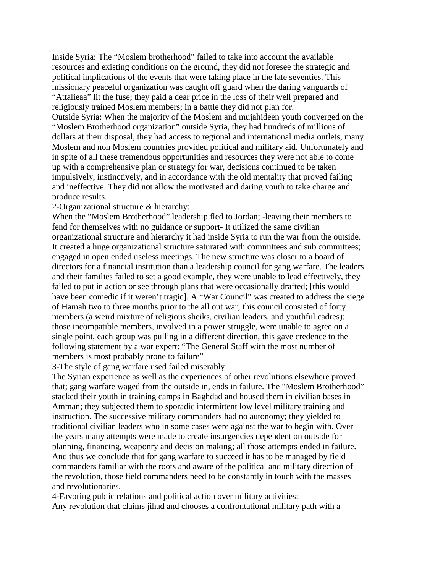Inside Syria: The "Moslem brotherhood" failed to take into account the available resources and existing conditions on the ground, they did not foresee the strategic and political implications of the events that were taking place in the late seventies. This missionary peaceful organization was caught off guard when the daring vanguards of "Attalieaa" lit the fuse; they paid a dear price in the loss of their well prepared and religiously trained Moslem members; in a battle they did not plan for.

Outside Syria: When the majority of the Moslem and mujahideen youth converged on the "Moslem Brotherhood organization" outside Syria, they had hundreds of millions of dollars at their disposal, they had access to regional and international media outlets, many Moslem and non Moslem countries provided political and military aid. Unfortunately and in spite of all these tremendous opportunities and resources they were not able to come up with a comprehensive plan or strategy for war, decisions continued to be taken impulsively, instinctively, and in accordance with the old mentality that proved failing and ineffective. They did not allow the motivated and daring youth to take charge and produce results.

#### 2-Organizational structure & hierarchy:

When the "Moslem Brotherhood" leadership fled to Jordan; -leaving their members to fend for themselves with no guidance or support- It utilized the same civilian organizational structure and hierarchy it had inside Syria to run the war from the outside. It created a huge organizational structure saturated with committees and sub committees; engaged in open ended useless meetings. The new structure was closer to a board of directors for a financial institution than a leadership council for gang warfare. The leaders and their families failed to set a good example, they were unable to lead effectively, they failed to put in action or see through plans that were occasionally drafted; [this would have been comedic if it weren't tragic]. A "War Council" was created to address the siege of Hamah two to three months prior to the all out war; this council consisted of forty members (a weird mixture of religious sheiks, civilian leaders, and youthful cadres); those incompatible members, involved in a power struggle, were unable to agree on a single point, each group was pulling in a different direction, this gave credence to the following statement by a war expert: "The General Staff with the most number of members is most probably prone to failure"

3-The style of gang warfare used failed miserably:

The Syrian experience as well as the experiences of other revolutions elsewhere proved that; gang warfare waged from the outside in, ends in failure. The "Moslem Brotherhood" stacked their youth in training camps in Baghdad and housed them in civilian bases in Amman; they subjected them to sporadic intermittent low level military training and instruction. The successive military commanders had no autonomy; they yielded to traditional civilian leaders who in some cases were against the war to begin with. Over the years many attempts were made to create insurgencies dependent on outside for planning, financing, weaponry and decision making; all those attempts ended in failure. And thus we conclude that for gang warfare to succeed it has to be managed by field commanders familiar with the roots and aware of the political and military direction of the revolution, those field commanders need to be constantly in touch with the masses and revolutionaries.

4-Favoring public relations and political action over military activities: Any revolution that claims jihad and chooses a confrontational military path with a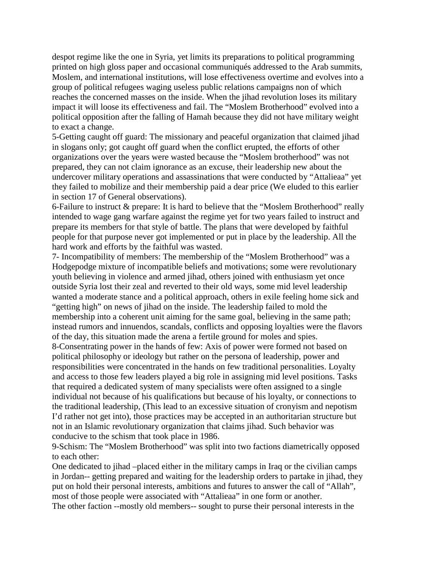despot regime like the one in Syria, yet limits its preparations to political programming printed on high gloss paper and occasional communiqués addressed to the Arab summits, Moslem, and international institutions, will lose effectiveness overtime and evolves into a group of political refugees waging useless public relations campaigns non of which reaches the concerned masses on the inside. When the jihad revolution loses its military impact it will loose its effectiveness and fail. The "Moslem Brotherhood" evolved into a political opposition after the falling of Hamah because they did not have military weight to exact a change.

5-Getting caught off guard: The missionary and peaceful organization that claimed jihad in slogans only; got caught off guard when the conflict erupted, the efforts of other organizations over the years were wasted because the "Moslem brotherhood" was not prepared, they can not claim ignorance as an excuse, their leadership new about the undercover military operations and assassinations that were conducted by "Attalieaa" yet they failed to mobilize and their membership paid a dear price (We eluded to this earlier in section 17 of General observations).

6-Failure to instruct & prepare: It is hard to believe that the "Moslem Brotherhood" really intended to wage gang warfare against the regime yet for two years failed to instruct and prepare its members for that style of battle. The plans that were developed by faithful people for that purpose never got implemented or put in place by the leadership. All the hard work and efforts by the faithful was wasted.

7- Incompatibility of members: The membership of the "Moslem Brotherhood" was a Hodgepodge mixture of incompatible beliefs and motivations; some were revolutionary youth believing in violence and armed jihad, others joined with enthusiasm yet once outside Syria lost their zeal and reverted to their old ways, some mid level leadership wanted a moderate stance and a political approach, others in exile feeling home sick and "getting high" on news of jihad on the inside. The leadership failed to mold the membership into a coherent unit aiming for the same goal, believing in the same path; instead rumors and innuendos, scandals, conflicts and opposing loyalties were the flavors of the day, this situation made the arena a fertile ground for moles and spies. 8-Consentrating power in the hands of few: Axis of power were formed not based on political philosophy or ideology but rather on the persona of leadership, power and responsibilities were concentrated in the hands on few traditional personalities. Loyalty and access to those few leaders played a big role in assigning mid level positions. Tasks that required a dedicated system of many specialists were often assigned to a single individual not because of his qualifications but because of his loyalty, or connections to the traditional leadership, (This lead to an excessive situation of cronyism and nepotism I'd rather not get into), those practices may be accepted in an authoritarian structure but

not in an Islamic revolutionary organization that claims jihad. Such behavior was conducive to the schism that took place in 1986.

9-Schism: The "Moslem Brotherhood" was split into two factions diametrically opposed to each other:

One dedicated to jihad –placed either in the military camps in Iraq or the civilian camps in Jordan-- getting prepared and waiting for the leadership orders to partake in jihad, they put on hold their personal interests, ambitions and futures to answer the call of "Allah", most of those people were associated with "Attalieaa" in one form or another.

The other faction --mostly old members-- sought to purse their personal interests in the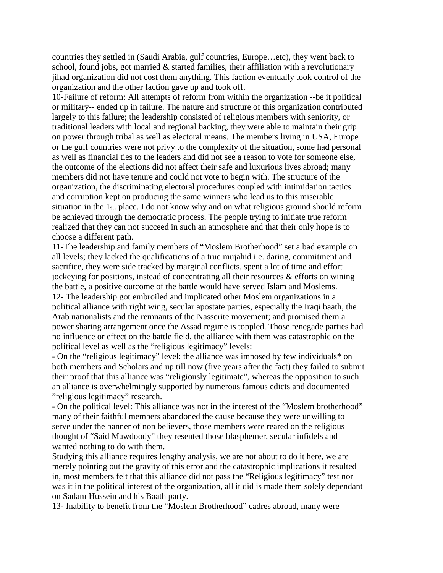countries they settled in (Saudi Arabia, gulf countries, Europe…etc), they went back to school, found jobs, got married  $\&$  started families, their affiliation with a revolutionary jihad organization did not cost them anything. This faction eventually took control of the organization and the other faction gave up and took off.

10-Failure of reform: All attempts of reform from within the organization --be it political or military-- ended up in failure. The nature and structure of this organization contributed largely to this failure; the leadership consisted of religious members with seniority, or traditional leaders with local and regional backing, they were able to maintain their grip on power through tribal as well as electoral means. The members living in USA, Europe or the gulf countries were not privy to the complexity of the situation, some had personal as well as financial ties to the leaders and did not see a reason to vote for someone else, the outcome of the elections did not affect their safe and luxurious lives abroad; many members did not have tenure and could not vote to begin with. The structure of the organization, the discriminating electoral procedures coupled with intimidation tactics and corruption kept on producing the same winners who lead us to this miserable situation in the 1st. place. I do not know why and on what religious ground should reform be achieved through the democratic process. The people trying to initiate true reform realized that they can not succeed in such an atmosphere and that their only hope is to choose a different path.

11-The leadership and family members of "Moslem Brotherhood" set a bad example on all levels; they lacked the qualifications of a true mujahid i.e. daring, commitment and sacrifice, they were side tracked by marginal conflicts, spent a lot of time and effort jockeying for positions, instead of concentrating all their resources  $\&$  efforts on wining the battle, a positive outcome of the battle would have served Islam and Moslems. 12- The leadership got embroiled and implicated other Moslem organizations in a political alliance with right wing, secular apostate parties, especially the Iraqi baath, the Arab nationalists and the remnants of the Nasserite movement; and promised them a power sharing arrangement once the Assad regime is toppled. Those renegade parties had no influence or effect on the battle field, the alliance with them was catastrophic on the political level as well as the "religious legitimacy" levels:

- On the "religious legitimacy" level: the alliance was imposed by few individuals\* on both members and Scholars and up till now (five years after the fact) they failed to submit their proof that this alliance was "religiously legitimate", whereas the opposition to such an alliance is overwhelmingly supported by numerous famous edicts and documented "religious legitimacy" research.

- On the political level: This alliance was not in the interest of the "Moslem brotherhood" many of their faithful members abandoned the cause because they were unwilling to serve under the banner of non believers, those members were reared on the religious thought of "Said Mawdoody" they resented those blasphemer, secular infidels and wanted nothing to do with them.

Studying this alliance requires lengthy analysis, we are not about to do it here, we are merely pointing out the gravity of this error and the catastrophic implications it resulted in, most members felt that this alliance did not pass the "Religious legitimacy" test nor was it in the political interest of the organization, all it did is made them solely dependant on Sadam Hussein and his Baath party.

13- Inability to benefit from the "Moslem Brotherhood" cadres abroad, many were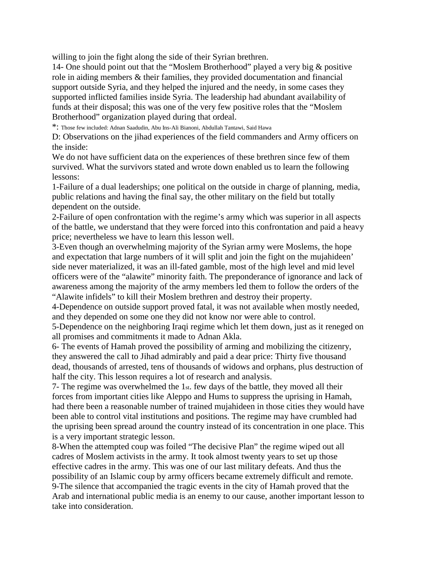willing to join the fight along the side of their Syrian brethren.

14- One should point out that the "Moslem Brotherhood" played a very big & positive role in aiding members & their families, they provided documentation and financial support outside Syria, and they helped the injured and the needy, in some cases they supported inflicted families inside Syria. The leadership had abundant availability of funds at their disposal; this was one of the very few positive roles that the "Moslem Brotherhood" organization played during that ordeal.

\*: Those few included: Adnan Saadudin, Abu Ins-Ali Bianoni, Abdullah Tantawi, Said Hawa

D: Observations on the jihad experiences of the field commanders and Army officers on the inside:

We do not have sufficient data on the experiences of these brethren since few of them survived. What the survivors stated and wrote down enabled us to learn the following lessons:

1-Failure of a dual leaderships; one political on the outside in charge of planning, media, public relations and having the final say, the other military on the field but totally dependent on the outside.

2-Failure of open confrontation with the regime's army which was superior in all aspects of the battle, we understand that they were forced into this confrontation and paid a heavy price; nevertheless we have to learn this lesson well.

3-Even though an overwhelming majority of the Syrian army were Moslems, the hope and expectation that large numbers of it will split and join the fight on the mujahideen' side never materialized, it was an ill-fated gamble, most of the high level and mid level officers were of the "alawite" minority faith. The preponderance of ignorance and lack of awareness among the majority of the army members led them to follow the orders of the "Alawite infidels" to kill their Moslem brethren and destroy their property.

4-Dependence on outside support proved fatal, it was not available when mostly needed, and they depended on some one they did not know nor were able to control.

5-Dependence on the neighboring Iraqi regime which let them down, just as it reneged on all promises and commitments it made to Adnan Akla.

6- The events of Hamah proved the possibility of arming and mobilizing the citizenry, they answered the call to Jihad admirably and paid a dear price: Thirty five thousand dead, thousands of arrested, tens of thousands of widows and orphans, plus destruction of half the city. This lesson requires a lot of research and analysis.

7- The regime was overwhelmed the 1st. few days of the battle, they moved all their forces from important cities like Aleppo and Hums to suppress the uprising in Hamah, had there been a reasonable number of trained mujahideen in those cities they would have been able to control vital institutions and positions. The regime may have crumbled had the uprising been spread around the country instead of its concentration in one place. This is a very important strategic lesson.

8-When the attempted coup was foiled "The decisive Plan" the regime wiped out all cadres of Moslem activists in the army. It took almost twenty years to set up those effective cadres in the army. This was one of our last military defeats. And thus the possibility of an Islamic coup by army officers became extremely difficult and remote. 9-The silence that accompanied the tragic events in the city of Hamah proved that the Arab and international public media is an enemy to our cause, another important lesson to take into consideration.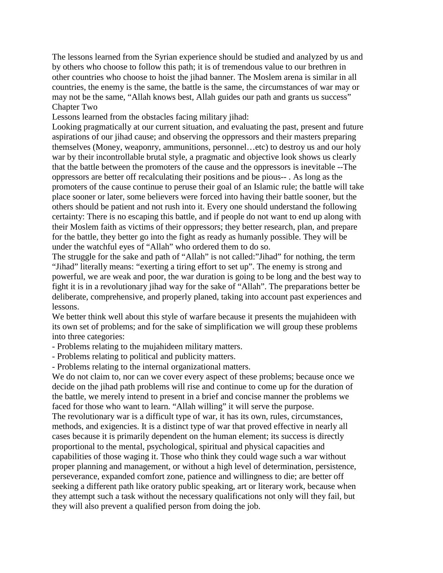The lessons learned from the Syrian experience should be studied and analyzed by us and by others who choose to follow this path; it is of tremendous value to our brethren in other countries who choose to hoist the jihad banner. The Moslem arena is similar in all countries, the enemy is the same, the battle is the same, the circumstances of war may or may not be the same, "Allah knows best, Allah guides our path and grants us success" Chapter Two

Lessons learned from the obstacles facing military jihad:

Looking pragmatically at our current situation, and evaluating the past, present and future aspirations of our jihad cause; and observing the oppressors and their masters preparing themselves (Money, weaponry, ammunitions, personnel…etc) to destroy us and our holy war by their incontrollable brutal style, a pragmatic and objective look shows us clearly that the battle between the promoters of the cause and the oppressors is inevitable --The oppressors are better off recalculating their positions and be pious-- . As long as the promoters of the cause continue to peruse their goal of an Islamic rule; the battle will take place sooner or later, some believers were forced into having their battle sooner, but the others should be patient and not rush into it. Every one should understand the following certainty: There is no escaping this battle, and if people do not want to end up along with their Moslem faith as victims of their oppressors; they better research, plan, and prepare for the battle, they better go into the fight as ready as humanly possible. They will be under the watchful eyes of "Allah" who ordered them to do so.

The struggle for the sake and path of "Allah" is not called:"Jihad" for nothing, the term "Jihad" literally means: "exerting a tiring effort to set up". The enemy is strong and powerful, we are weak and poor, the war duration is going to be long and the best way to fight it is in a revolutionary jihad way for the sake of "Allah". The preparations better be deliberate, comprehensive, and properly planed, taking into account past experiences and lessons.

We better think well about this style of warfare because it presents the mujahideen with its own set of problems; and for the sake of simplification we will group these problems into three categories:

- Problems relating to the mujahideen military matters.

- Problems relating to political and publicity matters.

- Problems relating to the internal organizational matters.

We do not claim to, nor can we cover every aspect of these problems; because once we decide on the jihad path problems will rise and continue to come up for the duration of the battle, we merely intend to present in a brief and concise manner the problems we faced for those who want to learn. "Allah willing" it will serve the purpose. The revolutionary war is a difficult type of war, it has its own, rules, circumstances, methods, and exigencies. It is a distinct type of war that proved effective in nearly all cases because it is primarily dependent on the human element; its success is directly proportional to the mental, psychological, spiritual and physical capacities and

capabilities of those waging it. Those who think they could wage such a war without proper planning and management, or without a high level of determination, persistence, perseverance, expanded comfort zone, patience and willingness to die; are better off seeking a different path like oratory public speaking, art or literary work, because when they attempt such a task without the necessary qualifications not only will they fail, but they will also prevent a qualified person from doing the job.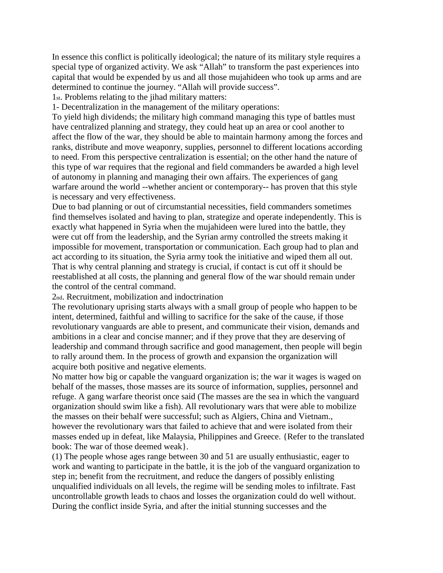In essence this conflict is politically ideological; the nature of its military style requires a special type of organized activity. We ask "Allah" to transform the past experiences into capital that would be expended by us and all those mujahideen who took up arms and are determined to continue the journey. "Allah will provide success".

1st. Problems relating to the jihad military matters:

1- Decentralization in the management of the military operations:

To yield high dividends; the military high command managing this type of battles must have centralized planning and strategy, they could heat up an area or cool another to affect the flow of the war, they should be able to maintain harmony among the forces and ranks, distribute and move weaponry, supplies, personnel to different locations according to need. From this perspective centralization is essential; on the other hand the nature of this type of war requires that the regional and field commanders be awarded a high level of autonomy in planning and managing their own affairs. The experiences of gang warfare around the world --whether ancient or contemporary-- has proven that this style is necessary and very effectiveness.

Due to bad planning or out of circumstantial necessities, field commanders sometimes find themselves isolated and having to plan, strategize and operate independently. This is exactly what happened in Syria when the mujahideen were lured into the battle, they were cut off from the leadership, and the Syrian army controlled the streets making it impossible for movement, transportation or communication. Each group had to plan and act according to its situation, the Syria army took the initiative and wiped them all out. That is why central planning and strategy is crucial, if contact is cut off it should be reestablished at all costs, the planning and general flow of the war should remain under the control of the central command.

2nd. Recruitment, mobilization and indoctrination

The revolutionary uprising starts always with a small group of people who happen to be intent, determined, faithful and willing to sacrifice for the sake of the cause, if those revolutionary vanguards are able to present, and communicate their vision, demands and ambitions in a clear and concise manner; and if they prove that they are deserving of leadership and command through sacrifice and good management, then people will begin to rally around them. In the process of growth and expansion the organization will acquire both positive and negative elements.

No matter how big or capable the vanguard organization is; the war it wages is waged on behalf of the masses, those masses are its source of information, supplies, personnel and refuge. A gang warfare theorist once said (The masses are the sea in which the vanguard organization should swim like a fish). All revolutionary wars that were able to mobilize the masses on their behalf were successful; such as Algiers, China and Vietnam., however the revolutionary wars that failed to achieve that and were isolated from their masses ended up in defeat, like Malaysia, Philippines and Greece. {Refer to the translated book: The war of those deemed weak}.

(1) The people whose ages range between 30 and 51 are usually enthusiastic, eager to work and wanting to participate in the battle, it is the job of the vanguard organization to step in; benefit from the recruitment, and reduce the dangers of possibly enlisting unqualified individuals on all levels, the regime will be sending moles to infiltrate. Fast uncontrollable growth leads to chaos and losses the organization could do well without. During the conflict inside Syria, and after the initial stunning successes and the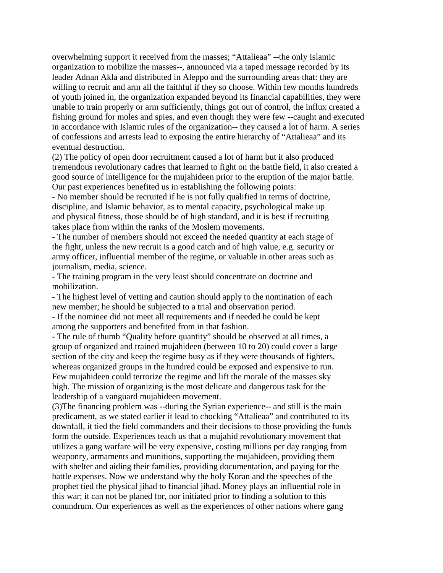overwhelming support it received from the masses; "Attalieaa" --the only Islamic organization to mobilize the masses--, announced via a taped message recorded by its leader Adnan Akla and distributed in Aleppo and the surrounding areas that: they are willing to recruit and arm all the faithful if they so choose. Within few months hundreds of youth joined in, the organization expanded beyond its financial capabilities, they were unable to train properly or arm sufficiently, things got out of control, the influx created a fishing ground for moles and spies, and even though they were few --caught and executed in accordance with Islamic rules of the organization-- they caused a lot of harm. A series of confessions and arrests lead to exposing the entire hierarchy of "Attalieaa" and its eventual destruction.

(2) The policy of open door recruitment caused a lot of harm but it also produced tremendous revolutionary cadres that learned to fight on the battle field, it also created a good source of intelligence for the mujahideen prior to the eruption of the major battle. Our past experiences benefited us in establishing the following points:

- No member should be recruited if he is not fully qualified in terms of doctrine, discipline, and Islamic behavior, as to mental capacity, psychological make up and physical fitness, those should be of high standard, and it is best if recruiting takes place from within the ranks of the Moslem movements.

- The number of members should not exceed the needed quantity at each stage of the fight, unless the new recruit is a good catch and of high value, e.g. security or army officer, influential member of the regime, or valuable in other areas such as journalism, media, science.

- The training program in the very least should concentrate on doctrine and mobilization.

- The highest level of vetting and caution should apply to the nomination of each new member; he should be subjected to a trial and observation period.

- If the nominee did not meet all requirements and if needed he could be kept among the supporters and benefited from in that fashion.

- The rule of thumb "Quality before quantity" should be observed at all times, a group of organized and trained mujahideen (between 10 to 20) could cover a large section of the city and keep the regime busy as if they were thousands of fighters, whereas organized groups in the hundred could be exposed and expensive to run. Few mujahideen could terrorize the regime and lift the morale of the masses sky high. The mission of organizing is the most delicate and dangerous task for the leadership of a vanguard mujahideen movement.

(3)The financing problem was --during the Syrian experience-- and still is the main predicament, as we stated earlier it lead to chocking "Attalieaa" and contributed to its downfall, it tied the field commanders and their decisions to those providing the funds form the outside. Experiences teach us that a mujahid revolutionary movement that utilizes a gang warfare will be very expensive, costing millions per day ranging from weaponry, armaments and munitions, supporting the mujahideen, providing them with shelter and aiding their families, providing documentation, and paying for the battle expenses. Now we understand why the holy Koran and the speeches of the prophet tied the physical jihad to financial jihad. Money plays an influential role in this war; it can not be planed for, nor initiated prior to finding a solution to this conundrum. Our experiences as well as the experiences of other nations where gang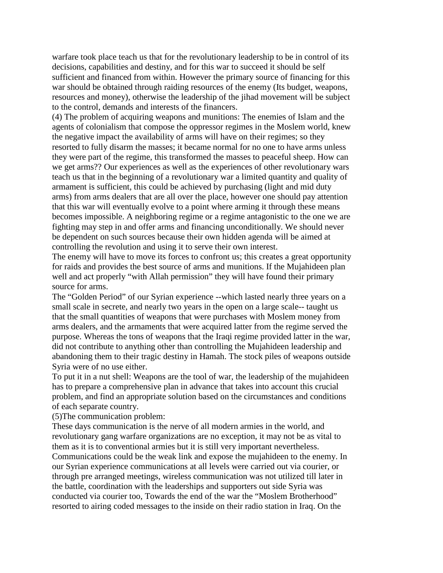warfare took place teach us that for the revolutionary leadership to be in control of its decisions, capabilities and destiny, and for this war to succeed it should be self sufficient and financed from within. However the primary source of financing for this war should be obtained through raiding resources of the enemy (Its budget, weapons, resources and money), otherwise the leadership of the jihad movement will be subject to the control, demands and interests of the financers.

(4) The problem of acquiring weapons and munitions: The enemies of Islam and the agents of colonialism that compose the oppressor regimes in the Moslem world, knew the negative impact the availability of arms will have on their regimes; so they resorted to fully disarm the masses; it became normal for no one to have arms unless they were part of the regime, this transformed the masses to peaceful sheep. How can we get arms?? Our experiences as well as the experiences of other revolutionary wars teach us that in the beginning of a revolutionary war a limited quantity and quality of armament is sufficient, this could be achieved by purchasing (light and mid duty arms) from arms dealers that are all over the place, however one should pay attention that this war will eventually evolve to a point where arming it through these means becomes impossible. A neighboring regime or a regime antagonistic to the one we are fighting may step in and offer arms and financing unconditionally. We should never be dependent on such sources because their own hidden agenda will be aimed at controlling the revolution and using it to serve their own interest.

The enemy will have to move its forces to confront us; this creates a great opportunity for raids and provides the best source of arms and munitions. If the Mujahideen plan well and act properly "with Allah permission" they will have found their primary source for arms.

The "Golden Period" of our Syrian experience --which lasted nearly three years on a small scale in secrete, and nearly two years in the open on a large scale-- taught us that the small quantities of weapons that were purchases with Moslem money from arms dealers, and the armaments that were acquired latter from the regime served the purpose. Whereas the tons of weapons that the Iraqi regime provided latter in the war, did not contribute to anything other than controlling the Mujahideen leadership and abandoning them to their tragic destiny in Hamah. The stock piles of weapons outside Syria were of no use either.

To put it in a nut shell: Weapons are the tool of war, the leadership of the mujahideen has to prepare a comprehensive plan in advance that takes into account this crucial problem, and find an appropriate solution based on the circumstances and conditions of each separate country.

(5)The communication problem:

These days communication is the nerve of all modern armies in the world, and revolutionary gang warfare organizations are no exception, it may not be as vital to them as it is to conventional armies but it is still very important nevertheless. Communications could be the weak link and expose the mujahideen to the enemy. In our Syrian experience communications at all levels were carried out via courier, or through pre arranged meetings, wireless communication was not utilized till later in the battle, coordination with the leaderships and supporters out side Syria was conducted via courier too, Towards the end of the war the "Moslem Brotherhood" resorted to airing coded messages to the inside on their radio station in Iraq. On the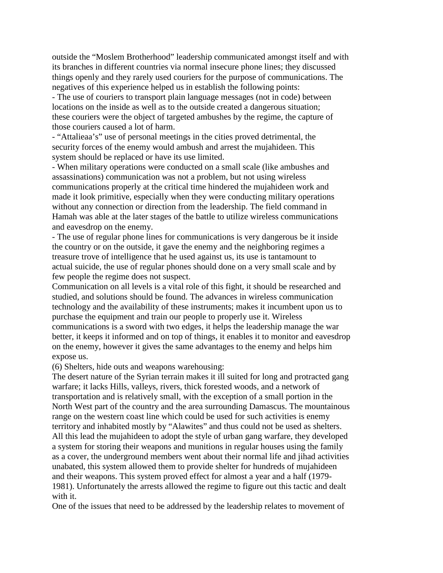outside the "Moslem Brotherhood" leadership communicated amongst itself and with its branches in different countries via normal insecure phone lines; they discussed things openly and they rarely used couriers for the purpose of communications. The negatives of this experience helped us in establish the following points:

- The use of couriers to transport plain language messages (not in code) between locations on the inside as well as to the outside created a dangerous situation; these couriers were the object of targeted ambushes by the regime, the capture of those couriers caused a lot of harm.

- "Attalieaa's" use of personal meetings in the cities proved detrimental, the security forces of the enemy would ambush and arrest the mujahideen. This system should be replaced or have its use limited.

- When military operations were conducted on a small scale (like ambushes and assassinations) communication was not a problem, but not using wireless communications properly at the critical time hindered the mujahideen work and made it look primitive, especially when they were conducting military operations without any connection or direction from the leadership. The field command in Hamah was able at the later stages of the battle to utilize wireless communications and eavesdrop on the enemy.

- The use of regular phone lines for communications is very dangerous be it inside the country or on the outside, it gave the enemy and the neighboring regimes a treasure trove of intelligence that he used against us, its use is tantamount to actual suicide, the use of regular phones should done on a very small scale and by few people the regime does not suspect.

Communication on all levels is a vital role of this fight, it should be researched and studied, and solutions should be found. The advances in wireless communication technology and the availability of these instruments; makes it incumbent upon us to purchase the equipment and train our people to properly use it. Wireless communications is a sword with two edges, it helps the leadership manage the war better, it keeps it informed and on top of things, it enables it to monitor and eavesdrop on the enemy, however it gives the same advantages to the enemy and helps him expose us.

(6) Shelters, hide outs and weapons warehousing:

The desert nature of the Syrian terrain makes it ill suited for long and protracted gang warfare; it lacks Hills, valleys, rivers, thick forested woods, and a network of transportation and is relatively small, with the exception of a small portion in the North West part of the country and the area surrounding Damascus. The mountainous range on the western coast line which could be used for such activities is enemy territory and inhabited mostly by "Alawites" and thus could not be used as shelters. All this lead the mujahideen to adopt the style of urban gang warfare, they developed a system for storing their weapons and munitions in regular houses using the family as a cover, the underground members went about their normal life and jihad activities unabated, this system allowed them to provide shelter for hundreds of mujahideen and their weapons. This system proved effect for almost a year and a half (1979- 1981). Unfortunately the arrests allowed the regime to figure out this tactic and dealt with it.

One of the issues that need to be addressed by the leadership relates to movement of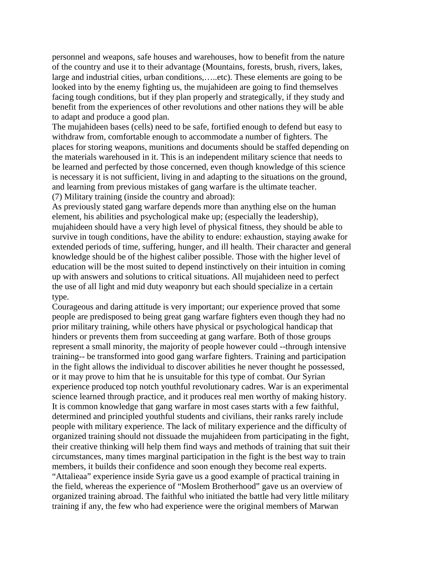personnel and weapons, safe houses and warehouses, how to benefit from the nature of the country and use it to their advantage (Mountains, forests, brush, rivers, lakes, large and industrial cities, urban conditions,…..etc). These elements are going to be looked into by the enemy fighting us, the mujahideen are going to find themselves facing tough conditions, but if they plan properly and strategically, if they study and benefit from the experiences of other revolutions and other nations they will be able to adapt and produce a good plan.

The mujahideen bases (cells) need to be safe, fortified enough to defend but easy to withdraw from, comfortable enough to accommodate a number of fighters. The places for storing weapons, munitions and documents should be staffed depending on the materials warehoused in it. This is an independent military science that needs to be learned and perfected by those concerned, even though knowledge of this science is necessary it is not sufficient, living in and adapting to the situations on the ground, and learning from previous mistakes of gang warfare is the ultimate teacher. (7) Military training (inside the country and abroad):

As previously stated gang warfare depends more than anything else on the human element, his abilities and psychological make up; (especially the leadership), mujahideen should have a very high level of physical fitness, they should be able to survive in tough conditions, have the ability to endure: exhaustion, staying awake for extended periods of time, suffering, hunger, and ill health. Their character and general knowledge should be of the highest caliber possible. Those with the higher level of education will be the most suited to depend instinctively on their intuition in coming up with answers and solutions to critical situations. All mujahideen need to perfect the use of all light and mid duty weaponry but each should specialize in a certain type.

Courageous and daring attitude is very important; our experience proved that some people are predisposed to being great gang warfare fighters even though they had no prior military training, while others have physical or psychological handicap that hinders or prevents them from succeeding at gang warfare. Both of those groups represent a small minority, the majority of people however could --through intensive training-- be transformed into good gang warfare fighters. Training and participation in the fight allows the individual to discover abilities he never thought he possessed, or it may prove to him that he is unsuitable for this type of combat. Our Syrian experience produced top notch youthful revolutionary cadres. War is an experimental science learned through practice, and it produces real men worthy of making history. It is common knowledge that gang warfare in most cases starts with a few faithful, determined and principled youthful students and civilians, their ranks rarely include people with military experience. The lack of military experience and the difficulty of organized training should not dissuade the mujahideen from participating in the fight, their creative thinking will help them find ways and methods of training that suit their circumstances, many times marginal participation in the fight is the best way to train members, it builds their confidence and soon enough they become real experts. "Attalieaa" experience inside Syria gave us a good example of practical training in the field, whereas the experience of "Moslem Brotherhood" gave us an overview of organized training abroad. The faithful who initiated the battle had very little military training if any, the few who had experience were the original members of Marwan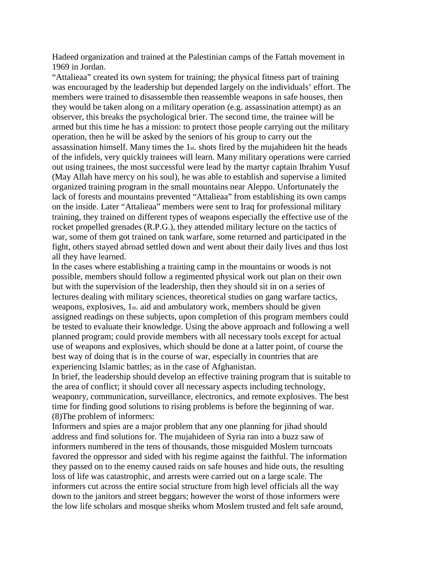Hadeed organization and trained at the Palestinian camps of the Fattah movement in 1969 in Jordan.

"Attalieaa" created its own system for training; the physical fitness part of training was encouraged by the leadership but depended largely on the individuals' effort. The members were trained to disassemble then reassemble weapons in safe houses, then they would be taken along on a military operation (e.g. assassination attempt) as an observer, this breaks the psychological brier. The second time, the trainee will be armed but this time he has a mission: to protect those people carrying out the military operation, then he will be asked by the seniors of his group to carry out the assassination himself. Many times the 1st. shots fired by the mujahideen hit the heads of the infidels, very quickly trainees will learn. Many military operations were carried out using trainees, the most successful were lead by the martyr captain Ibrahim Yusuf (May Allah have mercy on his soul), he was able to establish and supervise a limited organized training program in the small mountains near Aleppo. Unfortunately the lack of forests and mountains prevented "Attalieaa" from establishing its own camps on the inside. Later "Attalieaa" members were sent to Iraq for professional military training, they trained on different types of weapons especially the effective use of the rocket propelled grenades (R.P.G.), they attended military lecture on the tactics of war, some of them got trained on tank warfare, some returned and participated in the fight, others stayed abroad settled down and went about their daily lives and thus lost all they have learned.

In the cases where establishing a training camp in the mountains or woods is not possible, members should follow a regimented physical work out plan on their own but with the supervision of the leadership, then they should sit in on a series of lectures dealing with military sciences, theoretical studies on gang warfare tactics, weapons, explosives, 1st. aid and ambulatory work, members should be given assigned readings on these subjects, upon completion of this program members could be tested to evaluate their knowledge. Using the above approach and following a well planned program; could provide members with all necessary tools except for actual use of weapons and explosives, which should be done at a latter point, of course the best way of doing that is in the course of war, especially in countries that are experiencing Islamic battles; as in the case of Afghanistan.

In brief, the leadership should develop an effective training program that is suitable to the area of conflict; it should cover all necessary aspects including technology, weaponry, communication, surveillance, electronics, and remote explosives. The best time for finding good solutions to rising problems is before the beginning of war. (8)The problem of informers:

Informers and spies are a major problem that any one planning for jihad should address and find solutions for. The mujahideen of Syria ran into a buzz saw of informers numbered in the tens of thousands, those misguided Moslem turncoats favored the oppressor and sided with his regime against the faithful. The information they passed on to the enemy caused raids on safe houses and hide outs, the resulting loss of life was catastrophic, and arrests were carried out on a large scale. The informers cut across the entire social structure from high level officials all the way down to the janitors and street beggars; however the worst of those informers were the low life scholars and mosque sheiks whom Moslem trusted and felt safe around,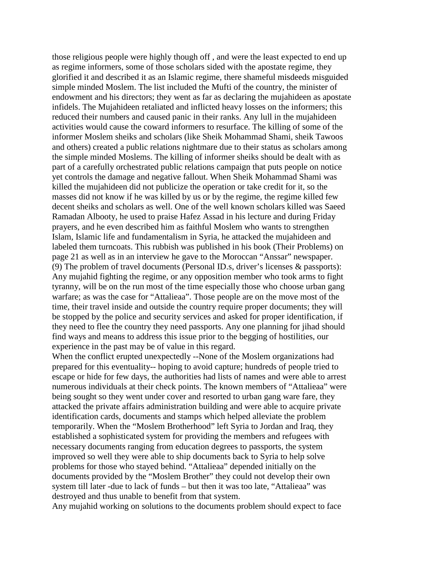those religious people were highly though off , and were the least expected to end up as regime informers, some of those scholars sided with the apostate regime, they glorified it and described it as an Islamic regime, there shameful misdeeds misguided simple minded Moslem. The list included the Mufti of the country, the minister of endowment and his directors; they went as far as declaring the mujahideen as apostate infidels. The Mujahideen retaliated and inflicted heavy losses on the informers; this reduced their numbers and caused panic in their ranks. Any lull in the mujahideen activities would cause the coward informers to resurface. The killing of some of the informer Moslem sheiks and scholars (like Sheik Mohammad Shami, sheik Tawoos and others) created a public relations nightmare due to their status as scholars among the simple minded Moslems. The killing of informer sheiks should be dealt with as part of a carefully orchestrated public relations campaign that puts people on notice yet controls the damage and negative fallout. When Sheik Mohammad Shami was killed the mujahideen did not publicize the operation or take credit for it, so the masses did not know if he was killed by us or by the regime, the regime killed few decent sheiks and scholars as well. One of the well known scholars killed was Saeed Ramadan Albooty, he used to praise Hafez Assad in his lecture and during Friday prayers, and he even described him as faithful Moslem who wants to strengthen Islam, Islamic life and fundamentalism in Syria, he attacked the mujahideen and labeled them turncoats. This rubbish was published in his book (Their Problems) on page 21 as well as in an interview he gave to the Moroccan "Anssar" newspaper. (9) The problem of travel documents (Personal ID.s, driver's licenses & passports): Any mujahid fighting the regime, or any opposition member who took arms to fight tyranny, will be on the run most of the time especially those who choose urban gang warfare; as was the case for "Attalieaa". Those people are on the move most of the time, their travel inside and outside the country require proper documents; they will be stopped by the police and security services and asked for proper identification, if they need to flee the country they need passports. Any one planning for jihad should find ways and means to address this issue prior to the begging of hostilities, our experience in the past may be of value in this regard.

When the conflict erupted unexpectedly --None of the Moslem organizations had prepared for this eventuality-- hoping to avoid capture; hundreds of people tried to escape or hide for few days, the authorities had lists of names and were able to arrest numerous individuals at their check points. The known members of "Attalieaa" were being sought so they went under cover and resorted to urban gang ware fare, they attacked the private affairs administration building and were able to acquire private identification cards, documents and stamps which helped alleviate the problem temporarily. When the "Moslem Brotherhood" left Syria to Jordan and Iraq, they established a sophisticated system for providing the members and refugees with necessary documents ranging from education degrees to passports, the system improved so well they were able to ship documents back to Syria to help solve problems for those who stayed behind. "Attalieaa" depended initially on the documents provided by the "Moslem Brother" they could not develop their own system till later -due to lack of funds – but then it was too late, "Attalieaa" was destroyed and thus unable to benefit from that system.

Any mujahid working on solutions to the documents problem should expect to face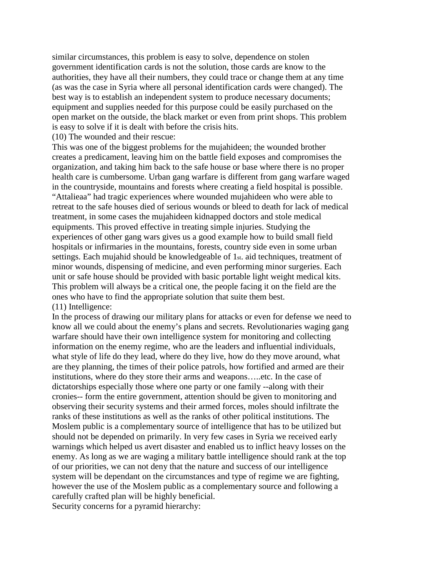similar circumstances, this problem is easy to solve, dependence on stolen government identification cards is not the solution, those cards are know to the authorities, they have all their numbers, they could trace or change them at any time (as was the case in Syria where all personal identification cards were changed). The best way is to establish an independent system to produce necessary documents; equipment and supplies needed for this purpose could be easily purchased on the open market on the outside, the black market or even from print shops. This problem is easy to solve if it is dealt with before the crisis hits.

(10) The wounded and their rescue:

This was one of the biggest problems for the mujahideen; the wounded brother creates a predicament, leaving him on the battle field exposes and compromises the organization, and taking him back to the safe house or base where there is no proper health care is cumbersome. Urban gang warfare is different from gang warfare waged in the countryside, mountains and forests where creating a field hospital is possible. "Attalieaa" had tragic experiences where wounded mujahideen who were able to retreat to the safe houses died of serious wounds or bleed to death for lack of medical treatment, in some cases the mujahideen kidnapped doctors and stole medical equipments. This proved effective in treating simple injuries. Studying the experiences of other gang wars gives us a good example how to build small field hospitals or infirmaries in the mountains, forests, country side even in some urban settings. Each mujahid should be knowledgeable of 1st. aid techniques, treatment of minor wounds, dispensing of medicine, and even performing minor surgeries. Each unit or safe house should be provided with basic portable light weight medical kits. This problem will always be a critical one, the people facing it on the field are the ones who have to find the appropriate solution that suite them best. (11) Intelligence:

In the process of drawing our military plans for attacks or even for defense we need to know all we could about the enemy's plans and secrets. Revolutionaries waging gang warfare should have their own intelligence system for monitoring and collecting information on the enemy regime, who are the leaders and influential individuals, what style of life do they lead, where do they live, how do they move around, what are they planning, the times of their police patrols, how fortified and armed are their institutions, where do they store their arms and weapons…..etc. In the case of dictatorships especially those where one party or one family --along with their cronies-- form the entire government, attention should be given to monitoring and observing their security systems and their armed forces, moles should infiltrate the ranks of these institutions as well as the ranks of other political institutions. The Moslem public is a complementary source of intelligence that has to be utilized but should not be depended on primarily. In very few cases in Syria we received early warnings which helped us avert disaster and enabled us to inflict heavy losses on the enemy. As long as we are waging a military battle intelligence should rank at the top of our priorities, we can not deny that the nature and success of our intelligence system will be dependant on the circumstances and type of regime we are fighting, however the use of the Moslem public as a complementary source and following a carefully crafted plan will be highly beneficial.

Security concerns for a pyramid hierarchy: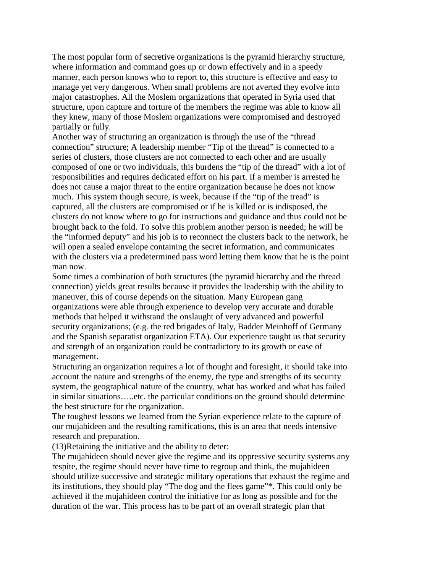The most popular form of secretive organizations is the pyramid hierarchy structure, where information and command goes up or down effectively and in a speedy manner, each person knows who to report to, this structure is effective and easy to manage yet very dangerous. When small problems are not averted they evolve into major catastrophes. All the Moslem organizations that operated in Syria used that structure, upon capture and torture of the members the regime was able to know all they knew, many of those Moslem organizations were compromised and destroyed partially or fully.

Another way of structuring an organization is through the use of the "thread connection" structure; A leadership member "Tip of the thread" is connected to a series of clusters, those clusters are not connected to each other and are usually composed of one or two individuals, this burdens the "tip of the thread" with a lot of responsibilities and requires dedicated effort on his part. If a member is arrested he does not cause a major threat to the entire organization because he does not know much. This system though secure, is week, because if the "tip of the tread" is captured, all the clusters are compromised or if he is killed or is indisposed, the clusters do not know where to go for instructions and guidance and thus could not be brought back to the fold. To solve this problem another person is needed; he will be the "informed deputy" and his job is to reconnect the clusters back to the network, he will open a sealed envelope containing the secret information, and communicates with the clusters via a predetermined pass word letting them know that he is the point man now.

Some times a combination of both structures (the pyramid hierarchy and the thread connection) yields great results because it provides the leadership with the ability to maneuver, this of course depends on the situation. Many European gang organizations were able through experience to develop very accurate and durable methods that helped it withstand the onslaught of very advanced and powerful security organizations; (e.g. the red brigades of Italy, Badder Meinhoff of Germany and the Spanish separatist organization ETA). Our experience taught us that security and strength of an organization could be contradictory to its growth or ease of management.

Structuring an organization requires a lot of thought and foresight, it should take into account the nature and strengths of the enemy, the type and strengths of its security system, the geographical nature of the country, what has worked and what has failed in similar situations…..etc. the particular conditions on the ground should determine the best structure for the organization.

The toughest lessons we learned from the Syrian experience relate to the capture of our mujahideen and the resulting ramifications, this is an area that needs intensive research and preparation.

(13)Retaining the initiative and the ability to deter:

The mujahideen should never give the regime and its oppressive security systems any respite, the regime should never have time to regroup and think, the mujahideen should utilize successive and strategic military operations that exhaust the regime and its institutions, they should play "The dog and the flees game"\*. This could only be achieved if the mujahideen control the initiative for as long as possible and for the duration of the war. This process has to be part of an overall strategic plan that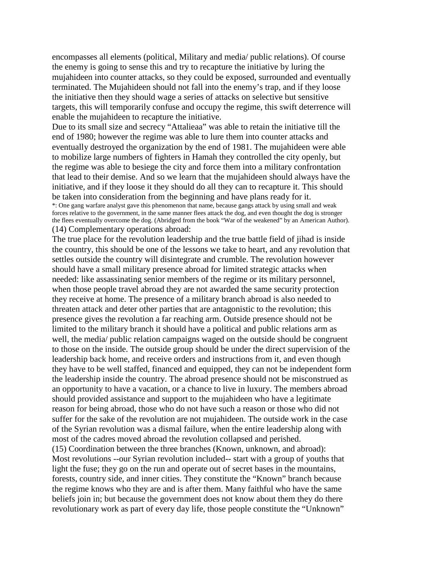encompasses all elements (political, Military and media/ public relations). Of course the enemy is going to sense this and try to recapture the initiative by luring the mujahideen into counter attacks, so they could be exposed, surrounded and eventually terminated. The Mujahideen should not fall into the enemy's trap, and if they loose the initiative then they should wage a series of attacks on selective but sensitive targets, this will temporarily confuse and occupy the regime, this swift deterrence will enable the mujahideen to recapture the initiative.

Due to its small size and secrecy "Attalieaa" was able to retain the initiative till the end of 1980; however the regime was able to lure them into counter attacks and eventually destroyed the organization by the end of 1981. The mujahideen were able to mobilize large numbers of fighters in Hamah they controlled the city openly, but the regime was able to besiege the city and force them into a military confrontation that lead to their demise. And so we learn that the mujahideen should always have the initiative, and if they loose it they should do all they can to recapture it. This should be taken into consideration from the beginning and have plans ready for it.

\*: One gang warfare analyst gave this phenomenon that name, because gangs attack by using small and weak forces relative to the government, in the same manner flees attack the dog, and even thought the dog is stronger the flees eventually overcome the dog. (Abridged from the book "War of the weakened" by an American Author). (14) Complementary operations abroad:

The true place for the revolution leadership and the true battle field of jihad is inside the country, this should be one of the lessons we take to heart, and any revolution that settles outside the country will disintegrate and crumble. The revolution however should have a small military presence abroad for limited strategic attacks when needed: like assassinating senior members of the regime or its military personnel, when those people travel abroad they are not awarded the same security protection they receive at home. The presence of a military branch abroad is also needed to threaten attack and deter other parties that are antagonistic to the revolution; this presence gives the revolution a far reaching arm. Outside presence should not be limited to the military branch it should have a political and public relations arm as well, the media/ public relation campaigns waged on the outside should be congruent to those on the inside. The outside group should be under the direct supervision of the leadership back home, and receive orders and instructions from it, and even though they have to be well staffed, financed and equipped, they can not be independent form the leadership inside the country. The abroad presence should not be misconstrued as an opportunity to have a vacation, or a chance to live in luxury. The members abroad should provided assistance and support to the mujahideen who have a legitimate reason for being abroad, those who do not have such a reason or those who did not suffer for the sake of the revolution are not mujahideen. The outside work in the case of the Syrian revolution was a dismal failure, when the entire leadership along with most of the cadres moved abroad the revolution collapsed and perished. (15) Coordination between the three branches (Known, unknown, and abroad): Most revolutions --our Syrian revolution included-- start with a group of youths that light the fuse; they go on the run and operate out of secret bases in the mountains, forests, country side, and inner cities. They constitute the "Known" branch because the regime knows who they are and is after them. Many faithful who have the same beliefs join in; but because the government does not know about them they do there revolutionary work as part of every day life, those people constitute the "Unknown"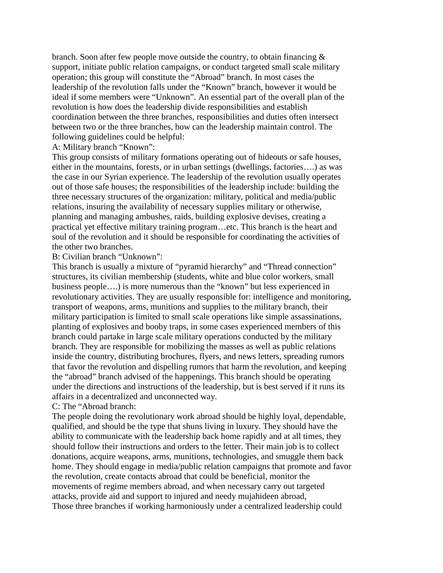branch. Soon after few people move outside the country, to obtain financing & support, initiate public relation campaigns, or conduct targeted small scale military operation; this group will constitute the "Abroad" branch. In most cases the leadership of the revolution falls under the "Known" branch, however it would be ideal if some members were "Unknown". An essential part of the overall plan of the revolution is how does the leadership divide responsibilities and establish coordination between the three branches, responsibilities and duties often intersect between two or the three branches, how can the leadership maintain control. The following guidelines could be helpful:

## A: Military branch "Known":

This group consists of military formations operating out of hideouts or safe houses, either in the mountains, forests, or in urban settings (dwellings, factories….) as was the case in our Syrian experience. The leadership of the revolution usually operates out of those safe houses; the responsibilities of the leadership include: building the three necessary structures of the organization: military, political and media/public relations, insuring the availability of necessary supplies military or otherwise, planning and managing ambushes, raids, building explosive devises, creating a practical yet effective military training program…etc. This branch is the heart and soul of the revolution and it should be responsible for coordinating the activities of the other two branches.

### B: Civilian branch "Unknown":

This branch is usually a mixture of "pyramid hierarchy" and "Thread connection" structures, its civilian membership (students, white and blue color workers, small business people….) is more numerous than the "known" but less experienced in revolutionary activities. They are usually responsible for: intelligence and monitoring, transport of weapons, arms, munitions and supplies to the military branch, their military participation is limited to small scale operations like simple assassinations, planting of explosives and booby traps, in some cases experienced members of this branch could partake in large scale military operations conducted by the military branch. They are responsible for mobilizing the masses as well as public relations inside the country, distributing brochures, flyers, and news letters, spreading rumors that favor the revolution and dispelling rumors that harm the revolution, and keeping the "abroad" branch advised of the happenings. This branch should be operating under the directions and instructions of the leadership, but is best served if it runs its affairs in a decentralized and unconnected way.

# C: The "Abroad branch:

The people doing the revolutionary work abroad should be highly loyal, dependable, qualified, and should be the type that shuns living in luxury. They should have the ability to communicate with the leadership back home rapidly and at all times, they should follow their instructions and orders to the letter. Their main job is to collect donations, acquire weapons, arms, munitions, technologies, and smuggle them back home. They should engage in media/public relation campaigns that promote and favor the revolution, create contacts abroad that could be beneficial, monitor the movements of regime members abroad, and when necessary carry out targeted attacks, provide aid and support to injured and needy mujahideen abroad, Those three branches if working harmoniously under a centralized leadership could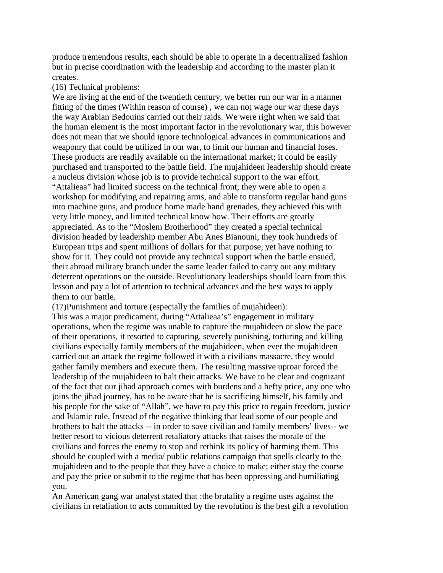produce tremendous results, each should be able to operate in a decentralized fashion but in precise coordination with the leadership and according to the master plan it creates.

#### (16) Technical problems:

We are living at the end of the twentieth century, we better run our war in a manner fitting of the times (Within reason of course) , we can not wage our war these days the way Arabian Bedouins carried out their raids. We were right when we said that the human element is the most important factor in the revolutionary war, this however does not mean that we should ignore technological advances in communications and weaponry that could be utilized in our war, to limit our human and financial loses. These products are readily available on the international market; it could be easily purchased and transported to the battle field. The mujahideen leadership should create a nucleus division whose job is to provide technical support to the war effort. "Attalieaa" had limited success on the technical front; they were able to open a workshop for modifying and repairing arms, and able to transform regular hand guns into machine guns, and produce home made hand grenades, they achieved this with very little money, and limited technical know how. Their efforts are greatly appreciated. As to the "Moslem Brotherhood" they created a special technical division headed by leadership member Abu Anes Bianouni, they took hundreds of European trips and spent millions of dollars for that purpose, yet have nothing to show for it. They could not provide any technical support when the battle ensued, their abroad military branch under the same leader failed to carry out any military deterrent operations on the outside. Revolutionary leaderships should learn from this lesson and pay a lot of attention to technical advances and the best ways to apply them to our battle.

(17)Punishment and torture (especially the families of mujahideen):

This was a major predicament, during "Attalieaa's" engagement in military operations, when the regime was unable to capture the mujahideen or slow the pace of their operations, it resorted to capturing, severely punishing, torturing and killing civilians especially family members of the mujahideen, when ever the mujahideen carried out an attack the regime followed it with a civilians massacre, they would gather family members and execute them. The resulting massive uproar forced the leadership of the mujahideen to halt their attacks. We have to be clear and cognizant of the fact that our jihad approach comes with burdens and a hefty price, any one who joins the jihad journey, has to be aware that he is sacrificing himself, his family and his people for the sake of "Allah", we have to pay this price to regain freedom, justice and Islamic rule. Instead of the negative thinking that lead some of our people and brothers to halt the attacks -- in order to save civilian and family members' lives-- we better resort to vicious deterrent retaliatory attacks that raises the morale of the civilians and forces the enemy to stop and rethink its policy of harming them. This should be coupled with a media/ public relations campaign that spells clearly to the mujahideen and to the people that they have a choice to make; either stay the course and pay the price or submit to the regime that has been oppressing and humiliating you.

An American gang war analyst stated that :the brutality a regime uses against the civilians in retaliation to acts committed by the revolution is the best gift a revolution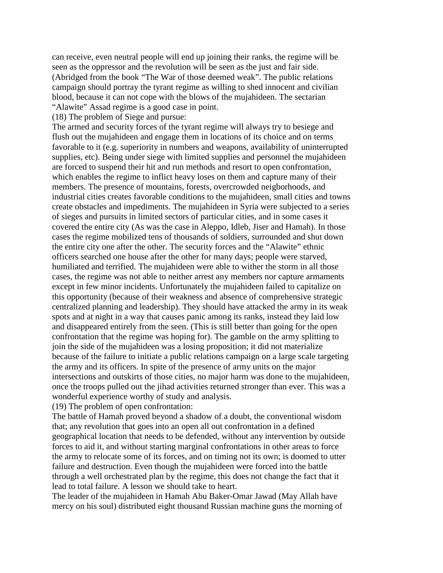can receive, even neutral people will end up joining their ranks, the regime will be seen as the oppressor and the revolution will be seen as the just and fair side. (Abridged from the book "The War of those deemed weak". The public relations campaign should portray the tyrant regime as willing to shed innocent and civilian blood, because it can not cope with the blows of the mujahideen. The sectarian "Alawite" Assad regime is a good case in point.

(18) The problem of Siege and pursue:

The armed and security forces of the tyrant regime will always try to besiege and flush out the mujahideen and engage them in locations of its choice and on terms favorable to it (e.g. superiority in numbers and weapons, availability of uninterrupted supplies, etc). Being under siege with limited supplies and personnel the mujahideen are forced to suspend their hit and run methods and resort to open confrontation, which enables the regime to inflict heavy loses on them and capture many of their members. The presence of mountains, forests, overcrowded neigborhoods, and industrial cities creates favorable conditions to the mujahideen, small cities and towns create obstacles and impediments. The mujahideen in Syria were subjected to a series of sieges and pursuits in limited sectors of particular cities, and in some cases it covered the entire city (As was the case in Aleppo, Idleb, Jiser and Hamah). In those cases the regime mobilized tens of thousands of soldiers, surrounded and shut down the entire city one after the other. The security forces and the "Alawite" ethnic officers searched one house after the other for many days; people were starved, humiliated and terrified. The mujahideen were able to wither the storm in all those cases, the regime was not able to neither arrest any members nor capture armaments except in few minor incidents. Unfortunately the mujahideen failed to capitalize on this opportunity (because of their weakness and absence of comprehensive strategic centralized planning and leadership). They should have attacked the army in its weak spots and at night in a way that causes panic among its ranks, instead they laid low and disappeared entirely from the seen. (This is still better than going for the open confrontation that the regime was hoping for). The gamble on the army splitting to join the side of the mujahideen was a losing proposition; it did not materialize because of the failure to initiate a public relations campaign on a large scale targeting the army and its officers. In spite of the presence of army units on the major intersections and outskirts of those cities, no major harm was done to the mujahideen, once the troops pulled out the jihad activities returned stronger than ever. This was a wonderful experience worthy of study and analysis.

(19) The problem of open confrontation:

The battle of Hamah proved beyond a shadow of a doubt, the conventional wisdom that; any revolution that goes into an open all out confrontation in a defined geographical location that needs to be defended, without any intervention by outside forces to aid it, and without starting marginal confrontations in other areas to force the army to relocate some of its forces, and on timing not its own; is doomed to utter failure and destruction. Even though the mujahideen were forced into the battle through a well orchestrated plan by the regime, this does not change the fact that it lead to total failure. A lesson we should take to heart.

The leader of the mujahideen in Hamah Abu Baker-Omar Jawad (May Allah have mercy on his soul) distributed eight thousand Russian machine guns the morning of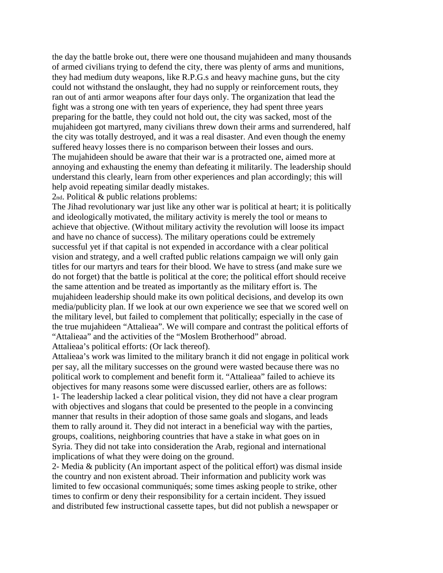the day the battle broke out, there were one thousand mujahideen and many thousands of armed civilians trying to defend the city, there was plenty of arms and munitions, they had medium duty weapons, like R.P.G.s and heavy machine guns, but the city could not withstand the onslaught, they had no supply or reinforcement routs, they ran out of anti armor weapons after four days only. The organization that lead the fight was a strong one with ten years of experience, they had spent three years preparing for the battle, they could not hold out, the city was sacked, most of the mujahideen got martyred, many civilians threw down their arms and surrendered, half the city was totally destroyed, and it was a real disaster. And even though the enemy suffered heavy losses there is no comparison between their losses and ours. The mujahideen should be aware that their war is a protracted one, aimed more at annoying and exhausting the enemy than defeating it militarily. The leadership should understand this clearly, learn from other experiences and plan accordingly; this will help avoid repeating similar deadly mistakes.

2nd. Political & public relations problems:

The Jihad revolutionary war just like any other war is political at heart; it is politically and ideologically motivated, the military activity is merely the tool or means to achieve that objective. (Without military activity the revolution will loose its impact and have no chance of success). The military operations could be extremely successful yet if that capital is not expended in accordance with a clear political vision and strategy, and a well crafted public relations campaign we will only gain titles for our martyrs and tears for their blood. We have to stress (and make sure we do not forget) that the battle is political at the core; the political effort should receive the same attention and be treated as importantly as the military effort is. The mujahideen leadership should make its own political decisions, and develop its own media/publicity plan. If we look at our own experience we see that we scored well on the military level, but failed to complement that politically; especially in the case of the true mujahideen "Attalieaa". We will compare and contrast the political efforts of "Attalieaa" and the activities of the "Moslem Brotherhood" abroad.

Attalieaa's political efforts: (Or lack thereof).

Attalieaa's work was limited to the military branch it did not engage in political work per say, all the military successes on the ground were wasted because there was no political work to complement and benefit form it. "Attalieaa" failed to achieve its objectives for many reasons some were discussed earlier, others are as follows: 1- The leadership lacked a clear political vision, they did not have a clear program with objectives and slogans that could be presented to the people in a convincing manner that results in their adoption of those same goals and slogans, and leads them to rally around it. They did not interact in a beneficial way with the parties, groups, coalitions, neighboring countries that have a stake in what goes on in Syria. They did not take into consideration the Arab, regional and international implications of what they were doing on the ground.

2- Media & publicity (An important aspect of the political effort) was dismal inside the country and non existent abroad. Their information and publicity work was limited to few occasional communiqués; some times asking people to strike, other times to confirm or deny their responsibility for a certain incident. They issued and distributed few instructional cassette tapes, but did not publish a newspaper or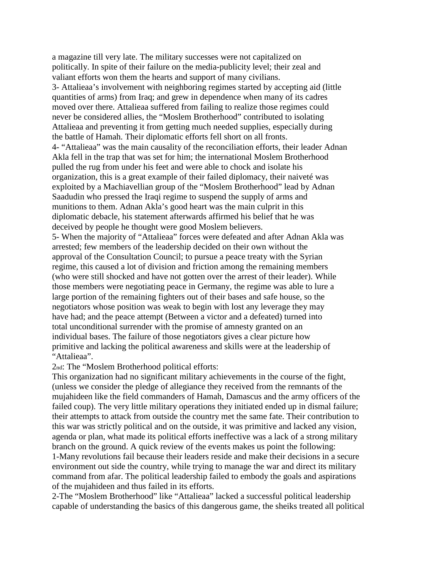a magazine till very late. The military successes were not capitalized on politically. In spite of their failure on the media-publicity level; their zeal and valiant efforts won them the hearts and support of many civilians. 3- Attalieaa's involvement with neighboring regimes started by accepting aid (little quantities of arms) from Iraq; and grew in dependence when many of its cadres moved over there. Attalieaa suffered from failing to realize those regimes could never be considered allies, the "Moslem Brotherhood" contributed to isolating Attalieaa and preventing it from getting much needed supplies, especially during the battle of Hamah. Their diplomatic efforts fell short on all fronts. 4- "Attalieaa" was the main causality of the reconciliation efforts, their leader Adnan Akla fell in the trap that was set for him; the international Moslem Brotherhood pulled the rug from under his feet and were able to chock and isolate his organization, this is a great example of their failed diplomacy, their naiveté was exploited by a Machiavellian group of the "Moslem Brotherhood" lead by Adnan Saadudin who pressed the Iraqi regime to suspend the supply of arms and munitions to them. Adnan Akla's good heart was the main culprit in this diplomatic debacle, his statement afterwards affirmed his belief that he was deceived by people he thought were good Moslem believers.

5- When the majority of "Attalieaa" forces were defeated and after Adnan Akla was arrested; few members of the leadership decided on their own without the approval of the Consultation Council; to pursue a peace treaty with the Syrian regime, this caused a lot of division and friction among the remaining members (who were still shocked and have not gotten over the arrest of their leader). While those members were negotiating peace in Germany, the regime was able to lure a large portion of the remaining fighters out of their bases and safe house, so the negotiators whose position was weak to begin with lost any leverage they may have had; and the peace attempt (Between a victor and a defeated) turned into total unconditional surrender with the promise of amnesty granted on an individual bases. The failure of those negotiators gives a clear picture how primitive and lacking the political awareness and skills were at the leadership of "Attalieaa".

2nd: The "Moslem Brotherhood political efforts:

This organization had no significant military achievements in the course of the fight, (unless we consider the pledge of allegiance they received from the remnants of the mujahideen like the field commanders of Hamah, Damascus and the army officers of the failed coup). The very little military operations they initiated ended up in dismal failure; their attempts to attack from outside the country met the same fate. Their contribution to this war was strictly political and on the outside, it was primitive and lacked any vision, agenda or plan, what made its political efforts ineffective was a lack of a strong military branch on the ground. A quick review of the events makes us point the following:

1-Many revolutions fail because their leaders reside and make their decisions in a secure environment out side the country, while trying to manage the war and direct its military command from afar. The political leadership failed to embody the goals and aspirations of the mujahideen and thus failed in its efforts.

2-The "Moslem Brotherhood" like "Attalieaa" lacked a successful political leadership capable of understanding the basics of this dangerous game, the sheiks treated all political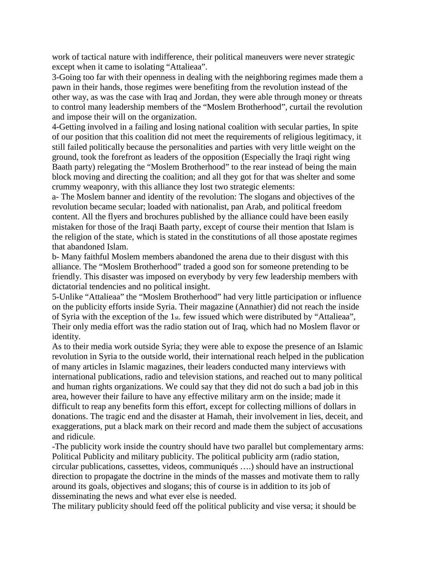work of tactical nature with indifference, their political maneuvers were never strategic except when it came to isolating "Attalieaa".

3-Going too far with their openness in dealing with the neighboring regimes made them a pawn in their hands, those regimes were benefiting from the revolution instead of the other way, as was the case with Iraq and Jordan, they were able through money or threats to control many leadership members of the "Moslem Brotherhood", curtail the revolution and impose their will on the organization.

4-Getting involved in a failing and losing national coalition with secular parties, In spite of our position that this coalition did not meet the requirements of religious legitimacy, it still failed politically because the personalities and parties with very little weight on the ground, took the forefront as leaders of the opposition (Especially the Iraqi right wing Baath party) relegating the "Moslem Brotherhood" to the rear instead of being the main block moving and directing the coalition; and all they got for that was shelter and some crummy weaponry, with this alliance they lost two strategic elements:

a- The Moslem banner and identity of the revolution: The slogans and objectives of the revolution became secular; loaded with nationalist, pan Arab, and political freedom content. All the flyers and brochures published by the alliance could have been easily mistaken for those of the Iraqi Baath party, except of course their mention that Islam is the religion of the state, which is stated in the constitutions of all those apostate regimes that abandoned Islam.

b- Many faithful Moslem members abandoned the arena due to their disgust with this alliance. The "Moslem Brotherhood" traded a good son for someone pretending to be friendly. This disaster was imposed on everybody by very few leadership members with dictatorial tendencies and no political insight.

5-Unlike "Attalieaa" the "Moslem Brotherhood" had very little participation or influence on the publicity efforts inside Syria. Their magazine (Annathier) did not reach the inside of Syria with the exception of the 1st. few issued which were distributed by "Attalieaa", Their only media effort was the radio station out of Iraq, which had no Moslem flavor or identity.

As to their media work outside Syria; they were able to expose the presence of an Islamic revolution in Syria to the outside world, their international reach helped in the publication of many articles in Islamic magazines, their leaders conducted many interviews with international publications, radio and television stations, and reached out to many political and human rights organizations. We could say that they did not do such a bad job in this area, however their failure to have any effective military arm on the inside; made it difficult to reap any benefits form this effort, except for collecting millions of dollars in donations. The tragic end and the disaster at Hamah, their involvement in lies, deceit, and exaggerations, put a black mark on their record and made them the subject of accusations and ridicule.

-The publicity work inside the country should have two parallel but complementary arms: Political Publicity and military publicity. The political publicity arm (radio station, circular publications, cassettes, videos, communiqués ….) should have an instructional direction to propagate the doctrine in the minds of the masses and motivate them to rally around its goals, objectives and slogans; this of course is in addition to its job of disseminating the news and what ever else is needed.

The military publicity should feed off the political publicity and vise versa; it should be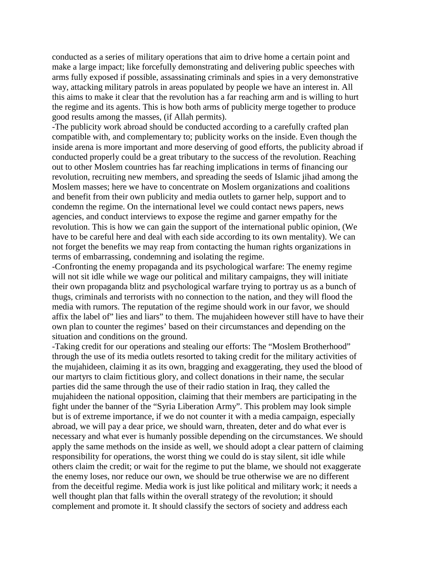conducted as a series of military operations that aim to drive home a certain point and make a large impact; like forcefully demonstrating and delivering public speeches with arms fully exposed if possible, assassinating criminals and spies in a very demonstrative way, attacking military patrols in areas populated by people we have an interest in. All this aims to make it clear that the revolution has a far reaching arm and is willing to hurt the regime and its agents. This is how both arms of publicity merge together to produce good results among the masses, (if Allah permits).

-The publicity work abroad should be conducted according to a carefully crafted plan compatible with, and complementary to; publicity works on the inside. Even though the inside arena is more important and more deserving of good efforts, the publicity abroad if conducted properly could be a great tributary to the success of the revolution. Reaching out to other Moslem countries has far reaching implications in terms of financing our revolution, recruiting new members, and spreading the seeds of Islamic jihad among the Moslem masses; here we have to concentrate on Moslem organizations and coalitions and benefit from their own publicity and media outlets to garner help, support and to condemn the regime. On the international level we could contact news papers, news agencies, and conduct interviews to expose the regime and garner empathy for the revolution. This is how we can gain the support of the international public opinion, (We have to be careful here and deal with each side according to its own mentality). We can not forget the benefits we may reap from contacting the human rights organizations in terms of embarrassing, condemning and isolating the regime.

-Confronting the enemy propaganda and its psychological warfare: The enemy regime will not sit idle while we wage our political and military campaigns, they will initiate their own propaganda blitz and psychological warfare trying to portray us as a bunch of thugs, criminals and terrorists with no connection to the nation, and they will flood the media with rumors. The reputation of the regime should work in our favor, we should affix the label of" lies and liars" to them. The mujahideen however still have to have their own plan to counter the regimes' based on their circumstances and depending on the situation and conditions on the ground.

-Taking credit for our operations and stealing our efforts: The "Moslem Brotherhood" through the use of its media outlets resorted to taking credit for the military activities of the mujahideen, claiming it as its own, bragging and exaggerating, they used the blood of our martyrs to claim fictitious glory, and collect donations in their name, the secular parties did the same through the use of their radio station in Iraq, they called the mujahideen the national opposition, claiming that their members are participating in the fight under the banner of the "Syria Liberation Army". This problem may look simple but is of extreme importance, if we do not counter it with a media campaign, especially abroad, we will pay a dear price, we should warn, threaten, deter and do what ever is necessary and what ever is humanly possible depending on the circumstances. We should apply the same methods on the inside as well, we should adopt a clear pattern of claiming responsibility for operations, the worst thing we could do is stay silent, sit idle while others claim the credit; or wait for the regime to put the blame, we should not exaggerate the enemy loses, nor reduce our own, we should be true otherwise we are no different from the deceitful regime. Media work is just like political and military work; it needs a well thought plan that falls within the overall strategy of the revolution; it should complement and promote it. It should classify the sectors of society and address each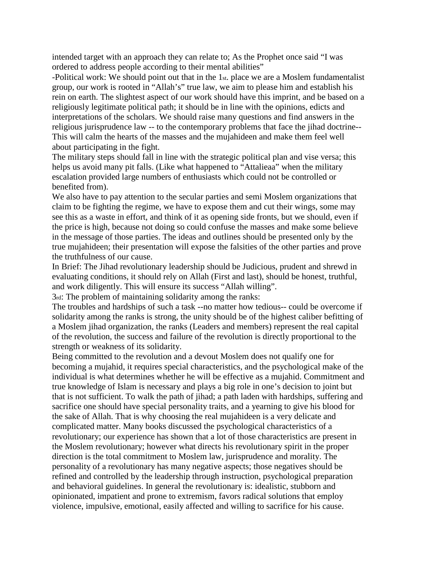intended target with an approach they can relate to; As the Prophet once said "I was ordered to address people according to their mental abilities"

-Political work: We should point out that in the 1st. place we are a Moslem fundamentalist group, our work is rooted in "Allah's" true law, we aim to please him and establish his rein on earth. The slightest aspect of our work should have this imprint, and be based on a religiously legitimate political path; it should be in line with the opinions, edicts and interpretations of the scholars. We should raise many questions and find answers in the religious jurisprudence law -- to the contemporary problems that face the jihad doctrine-- This will calm the hearts of the masses and the mujahideen and make them feel well about participating in the fight.

The military steps should fall in line with the strategic political plan and vise versa; this helps us avoid many pit falls. (Like what happened to "Attalieaa" when the military escalation provided large numbers of enthusiasts which could not be controlled or benefited from).

We also have to pay attention to the secular parties and semi Moslem organizations that claim to be fighting the regime, we have to expose them and cut their wings, some may see this as a waste in effort, and think of it as opening side fronts, but we should, even if the price is high, because not doing so could confuse the masses and make some believe in the message of those parties. The ideas and outlines should be presented only by the true mujahideen; their presentation will expose the falsities of the other parties and prove the truthfulness of our cause.

In Brief: The Jihad revolutionary leadership should be Judicious, prudent and shrewd in evaluating conditions, it should rely on Allah (First and last), should be honest, truthful, and work diligently. This will ensure its success "Allah willing".

3rd: The problem of maintaining solidarity among the ranks:

The troubles and hardships of such a task --no matter how tedious-- could be overcome if solidarity among the ranks is strong, the unity should be of the highest caliber befitting of a Moslem jihad organization, the ranks (Leaders and members) represent the real capital of the revolution, the success and failure of the revolution is directly proportional to the strength or weakness of its solidarity.

Being committed to the revolution and a devout Moslem does not qualify one for becoming a mujahid, it requires special characteristics, and the psychological make of the individual is what determines whether he will be effective as a mujahid. Commitment and true knowledge of Islam is necessary and plays a big role in one's decision to joint but that is not sufficient. To walk the path of jihad; a path laden with hardships, suffering and sacrifice one should have special personality traits, and a yearning to give his blood for the sake of Allah. That is why choosing the real mujahideen is a very delicate and complicated matter. Many books discussed the psychological characteristics of a revolutionary; our experience has shown that a lot of those characteristics are present in the Moslem revolutionary; however what directs his revolutionary spirit in the proper direction is the total commitment to Moslem law, jurisprudence and morality. The personality of a revolutionary has many negative aspects; those negatives should be refined and controlled by the leadership through instruction, psychological preparation and behavioral guidelines. In general the revolutionary is: idealistic, stubborn and opinionated, impatient and prone to extremism, favors radical solutions that employ violence, impulsive, emotional, easily affected and willing to sacrifice for his cause.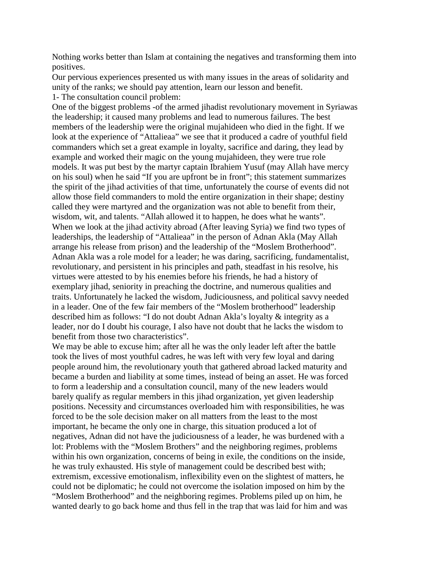Nothing works better than Islam at containing the negatives and transforming them into positives.

Our pervious experiences presented us with many issues in the areas of solidarity and unity of the ranks; we should pay attention, learn our lesson and benefit. 1- The consultation council problem:

One of the biggest problems -of the armed jihadist revolutionary movement in Syriawas the leadership; it caused many problems and lead to numerous failures. The best members of the leadership were the original mujahideen who died in the fight. If we look at the experience of "Attalieaa" we see that it produced a cadre of youthful field commanders which set a great example in loyalty, sacrifice and daring, they lead by example and worked their magic on the young mujahideen, they were true role models. It was put best by the martyr captain Ibrahiem Yusuf (may Allah have mercy on his soul) when he said "If you are upfront be in front"; this statement summarizes the spirit of the jihad activities of that time, unfortunately the course of events did not allow those field commanders to mold the entire organization in their shape; destiny called they were martyred and the organization was not able to benefit from their, wisdom, wit, and talents. "Allah allowed it to happen, he does what he wants". When we look at the jihad activity abroad (After leaving Syria) we find two types of leaderships, the leadership of "Attalieaa" in the person of Adnan Akla (May Allah arrange his release from prison) and the leadership of the "Moslem Brotherhood". Adnan Akla was a role model for a leader; he was daring, sacrificing, fundamentalist, revolutionary, and persistent in his principles and path, steadfast in his resolve, his virtues were attested to by his enemies before his friends, he had a history of exemplary jihad, seniority in preaching the doctrine, and numerous qualities and traits. Unfortunately he lacked the wisdom, Judiciousness, and political savvy needed in a leader. One of the few fair members of the "Moslem brotherhood" leadership described him as follows: "I do not doubt Adnan Akla's loyalty & integrity as a leader, nor do I doubt his courage, I also have not doubt that he lacks the wisdom to benefit from those two characteristics".

We may be able to excuse him; after all he was the only leader left after the battle took the lives of most youthful cadres, he was left with very few loyal and daring people around him, the revolutionary youth that gathered abroad lacked maturity and became a burden and liability at some times, instead of being an asset. He was forced to form a leadership and a consultation council, many of the new leaders would barely qualify as regular members in this jihad organization, yet given leadership positions. Necessity and circumstances overloaded him with responsibilities, he was forced to be the sole decision maker on all matters from the least to the most important, he became the only one in charge, this situation produced a lot of negatives, Adnan did not have the judiciousness of a leader, he was burdened with a lot: Problems with the "Moslem Brothers" and the neighboring regimes, problems within his own organization, concerns of being in exile, the conditions on the inside, he was truly exhausted. His style of management could be described best with; extremism, excessive emotionalism, inflexibility even on the slightest of matters, he could not be diplomatic; he could not overcome the isolation imposed on him by the "Moslem Brotherhood" and the neighboring regimes. Problems piled up on him, he wanted dearly to go back home and thus fell in the trap that was laid for him and was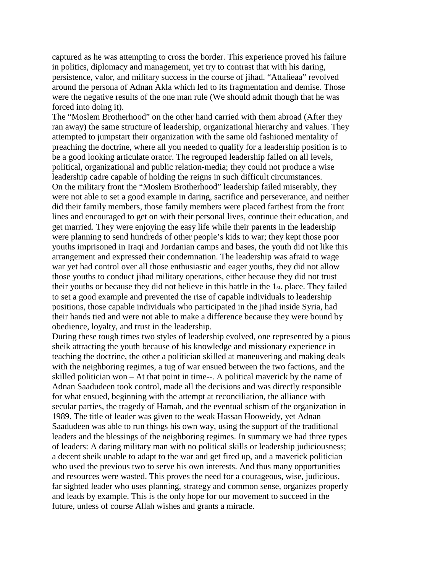captured as he was attempting to cross the border. This experience proved his failure in politics, diplomacy and management, yet try to contrast that with his daring, persistence, valor, and military success in the course of jihad. "Attalieaa" revolved around the persona of Adnan Akla which led to its fragmentation and demise. Those were the negative results of the one man rule (We should admit though that he was forced into doing it).

The "Moslem Brotherhood" on the other hand carried with them abroad (After they ran away) the same structure of leadership, organizational hierarchy and values. They attempted to jumpstart their organization with the same old fashioned mentality of preaching the doctrine, where all you needed to qualify for a leadership position is to be a good looking articulate orator. The regrouped leadership failed on all levels, political, organizational and public relation-media; they could not produce a wise leadership cadre capable of holding the reigns in such difficult circumstances. On the military front the "Moslem Brotherhood" leadership failed miserably, they were not able to set a good example in daring, sacrifice and perseverance, and neither did their family members, those family members were placed farthest from the front lines and encouraged to get on with their personal lives, continue their education, and get married. They were enjoying the easy life while their parents in the leadership were planning to send hundreds of other people's kids to war; they kept those poor youths imprisoned in Iraqi and Jordanian camps and bases, the youth did not like this arrangement and expressed their condemnation. The leadership was afraid to wage war yet had control over all those enthusiastic and eager youths, they did not allow those youths to conduct jihad military operations, either because they did not trust their youths or because they did not believe in this battle in the 1st. place. They failed to set a good example and prevented the rise of capable individuals to leadership positions, those capable individuals who participated in the jihad inside Syria, had their hands tied and were not able to make a difference because they were bound by obedience, loyalty, and trust in the leadership.

During these tough times two styles of leadership evolved, one represented by a pious sheik attracting the youth because of his knowledge and missionary experience in teaching the doctrine, the other a politician skilled at maneuvering and making deals with the neighboring regimes, a tug of war ensued between the two factions, and the skilled politician won – At that point in time--. A political maverick by the name of Adnan Saadudeen took control, made all the decisions and was directly responsible for what ensued, beginning with the attempt at reconciliation, the alliance with secular parties, the tragedy of Hamah, and the eventual schism of the organization in 1989. The title of leader was given to the weak Hassan Hooweidy, yet Adnan Saadudeen was able to run things his own way, using the support of the traditional leaders and the blessings of the neighboring regimes. In summary we had three types of leaders: A daring military man with no political skills or leadership judiciousness; a decent sheik unable to adapt to the war and get fired up, and a maverick politician who used the previous two to serve his own interests. And thus many opportunities and resources were wasted. This proves the need for a courageous, wise, judicious, far sighted leader who uses planning, strategy and common sense, organizes properly and leads by example. This is the only hope for our movement to succeed in the future, unless of course Allah wishes and grants a miracle.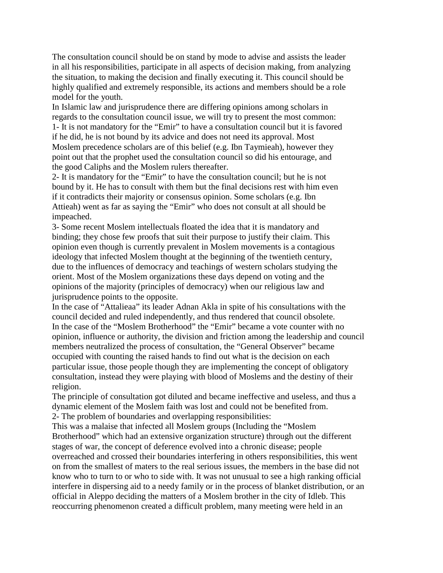The consultation council should be on stand by mode to advise and assists the leader in all his responsibilities, participate in all aspects of decision making, from analyzing the situation, to making the decision and finally executing it. This council should be highly qualified and extremely responsible, its actions and members should be a role model for the youth.

In Islamic law and jurisprudence there are differing opinions among scholars in regards to the consultation council issue, we will try to present the most common: 1- It is not mandatory for the "Emir" to have a consultation council but it is favored if he did, he is not bound by its advice and does not need its approval. Most Moslem precedence scholars are of this belief (e.g. Ibn Taymieah), however they point out that the prophet used the consultation council so did his entourage, and the good Caliphs and the Moslem rulers thereafter.

2- It is mandatory for the "Emir" to have the consultation council; but he is not bound by it. He has to consult with them but the final decisions rest with him even if it contradicts their majority or consensus opinion. Some scholars (e.g. Ibn Attieah) went as far as saying the "Emir" who does not consult at all should be impeached.

3- Some recent Moslem intellectuals floated the idea that it is mandatory and binding; they chose few proofs that suit their purpose to justify their claim. This opinion even though is currently prevalent in Moslem movements is a contagious ideology that infected Moslem thought at the beginning of the twentieth century, due to the influences of democracy and teachings of western scholars studying the orient. Most of the Moslem organizations these days depend on voting and the opinions of the majority (principles of democracy) when our religious law and jurisprudence points to the opposite.

In the case of "Attalieaa" its leader Adnan Akla in spite of his consultations with the council decided and ruled independently, and thus rendered that council obsolete. In the case of the "Moslem Brotherhood" the "Emir" became a vote counter with no opinion, influence or authority, the division and friction among the leadership and council members neutralized the process of consultation, the "General Observer" became occupied with counting the raised hands to find out what is the decision on each particular issue, those people though they are implementing the concept of obligatory consultation, instead they were playing with blood of Moslems and the destiny of their religion.

The principle of consultation got diluted and became ineffective and useless, and thus a dynamic element of the Moslem faith was lost and could not be benefited from. 2- The problem of boundaries and overlapping responsibilities:

This was a malaise that infected all Moslem groups (Including the "Moslem Brotherhood" which had an extensive organization structure) through out the different stages of war, the concept of deference evolved into a chronic disease; people overreached and crossed their boundaries interfering in others responsibilities, this went on from the smallest of maters to the real serious issues, the members in the base did not know who to turn to or who to side with. It was not unusual to see a high ranking official interfere in dispersing aid to a needy family or in the process of blanket distribution, or an official in Aleppo deciding the matters of a Moslem brother in the city of Idleb. This reoccurring phenomenon created a difficult problem, many meeting were held in an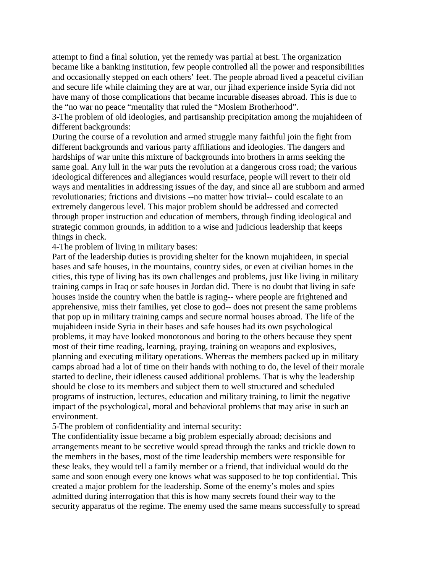attempt to find a final solution, yet the remedy was partial at best. The organization became like a banking institution, few people controlled all the power and responsibilities and occasionally stepped on each others' feet. The people abroad lived a peaceful civilian and secure life while claiming they are at war, our jihad experience inside Syria did not have many of those complications that became incurable diseases abroad. This is due to the "no war no peace "mentality that ruled the "Moslem Brotherhood".

3-The problem of old ideologies, and partisanship precipitation among the mujahideen of different backgrounds:

During the course of a revolution and armed struggle many faithful join the fight from different backgrounds and various party affiliations and ideologies. The dangers and hardships of war unite this mixture of backgrounds into brothers in arms seeking the same goal. Any lull in the war puts the revolution at a dangerous cross road; the various ideological differences and allegiances would resurface, people will revert to their old ways and mentalities in addressing issues of the day, and since all are stubborn and armed revolutionaries; frictions and divisions --no matter how trivial-- could escalate to an extremely dangerous level. This major problem should be addressed and corrected through proper instruction and education of members, through finding ideological and strategic common grounds, in addition to a wise and judicious leadership that keeps things in check.

4-The problem of living in military bases:

Part of the leadership duties is providing shelter for the known mujahideen, in special bases and safe houses, in the mountains, country sides, or even at civilian homes in the cities, this type of living has its own challenges and problems, just like living in military training camps in Iraq or safe houses in Jordan did. There is no doubt that living in safe houses inside the country when the battle is raging-- where people are frightened and apprehensive, miss their families, yet close to god-- does not present the same problems that pop up in military training camps and secure normal houses abroad. The life of the mujahideen inside Syria in their bases and safe houses had its own psychological problems, it may have looked monotonous and boring to the others because they spent most of their time reading, learning, praying, training on weapons and explosives, planning and executing military operations. Whereas the members packed up in military camps abroad had a lot of time on their hands with nothing to do, the level of their morale started to decline, their idleness caused additional problems. That is why the leadership should be close to its members and subject them to well structured and scheduled programs of instruction, lectures, education and military training, to limit the negative impact of the psychological, moral and behavioral problems that may arise in such an environment.

5-The problem of confidentiality and internal security:

The confidentiality issue became a big problem especially abroad; decisions and arrangements meant to be secretive would spread through the ranks and trickle down to the members in the bases, most of the time leadership members were responsible for these leaks, they would tell a family member or a friend, that individual would do the same and soon enough every one knows what was supposed to be top confidential. This created a major problem for the leadership. Some of the enemy's moles and spies admitted during interrogation that this is how many secrets found their way to the security apparatus of the regime. The enemy used the same means successfully to spread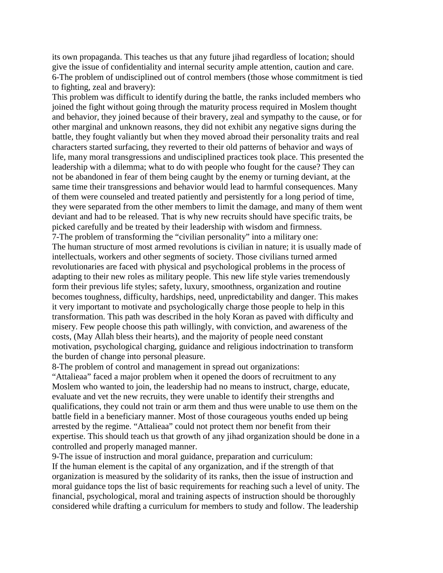its own propaganda. This teaches us that any future jihad regardless of location; should give the issue of confidentiality and internal security ample attention, caution and care. 6-The problem of undisciplined out of control members (those whose commitment is tied to fighting, zeal and bravery):

This problem was difficult to identify during the battle, the ranks included members who joined the fight without going through the maturity process required in Moslem thought and behavior, they joined because of their bravery, zeal and sympathy to the cause, or for other marginal and unknown reasons, they did not exhibit any negative signs during the battle, they fought valiantly but when they moved abroad their personality traits and real characters started surfacing, they reverted to their old patterns of behavior and ways of life, many moral transgressions and undisciplined practices took place. This presented the leadership with a dilemma; what to do with people who fought for the cause? They can not be abandoned in fear of them being caught by the enemy or turning deviant, at the same time their transgressions and behavior would lead to harmful consequences. Many of them were counseled and treated patiently and persistently for a long period of time, they were separated from the other members to limit the damage, and many of them went deviant and had to be released. That is why new recruits should have specific traits, be picked carefully and be treated by their leadership with wisdom and firmness. 7-The problem of transforming the "civilian personality" into a military one: The human structure of most armed revolutions is civilian in nature; it is usually made of intellectuals, workers and other segments of society. Those civilians turned armed revolutionaries are faced with physical and psychological problems in the process of adapting to their new roles as military people. This new life style varies tremendously form their previous life styles; safety, luxury, smoothness, organization and routine becomes toughness, difficulty, hardships, need, unpredictability and danger. This makes it very important to motivate and psychologically charge those people to help in this transformation. This path was described in the holy Koran as paved with difficulty and misery. Few people choose this path willingly, with conviction, and awareness of the costs, (May Allah bless their hearts), and the majority of people need constant motivation, psychological charging, guidance and religious indoctrination to transform the burden of change into personal pleasure.

8-The problem of control and management in spread out organizations:

"Attalieaa" faced a major problem when it opened the doors of recruitment to any Moslem who wanted to join, the leadership had no means to instruct, charge, educate, evaluate and vet the new recruits, they were unable to identify their strengths and qualifications, they could not train or arm them and thus were unable to use them on the battle field in a beneficiary manner. Most of those courageous youths ended up being arrested by the regime. "Attalieaa" could not protect them nor benefit from their expertise. This should teach us that growth of any jihad organization should be done in a controlled and properly managed manner.

9-The issue of instruction and moral guidance, preparation and curriculum: If the human element is the capital of any organization, and if the strength of that organization is measured by the solidarity of its ranks, then the issue of instruction and moral guidance tops the list of basic requirements for reaching such a level of unity. The financial, psychological, moral and training aspects of instruction should be thoroughly considered while drafting a curriculum for members to study and follow. The leadership